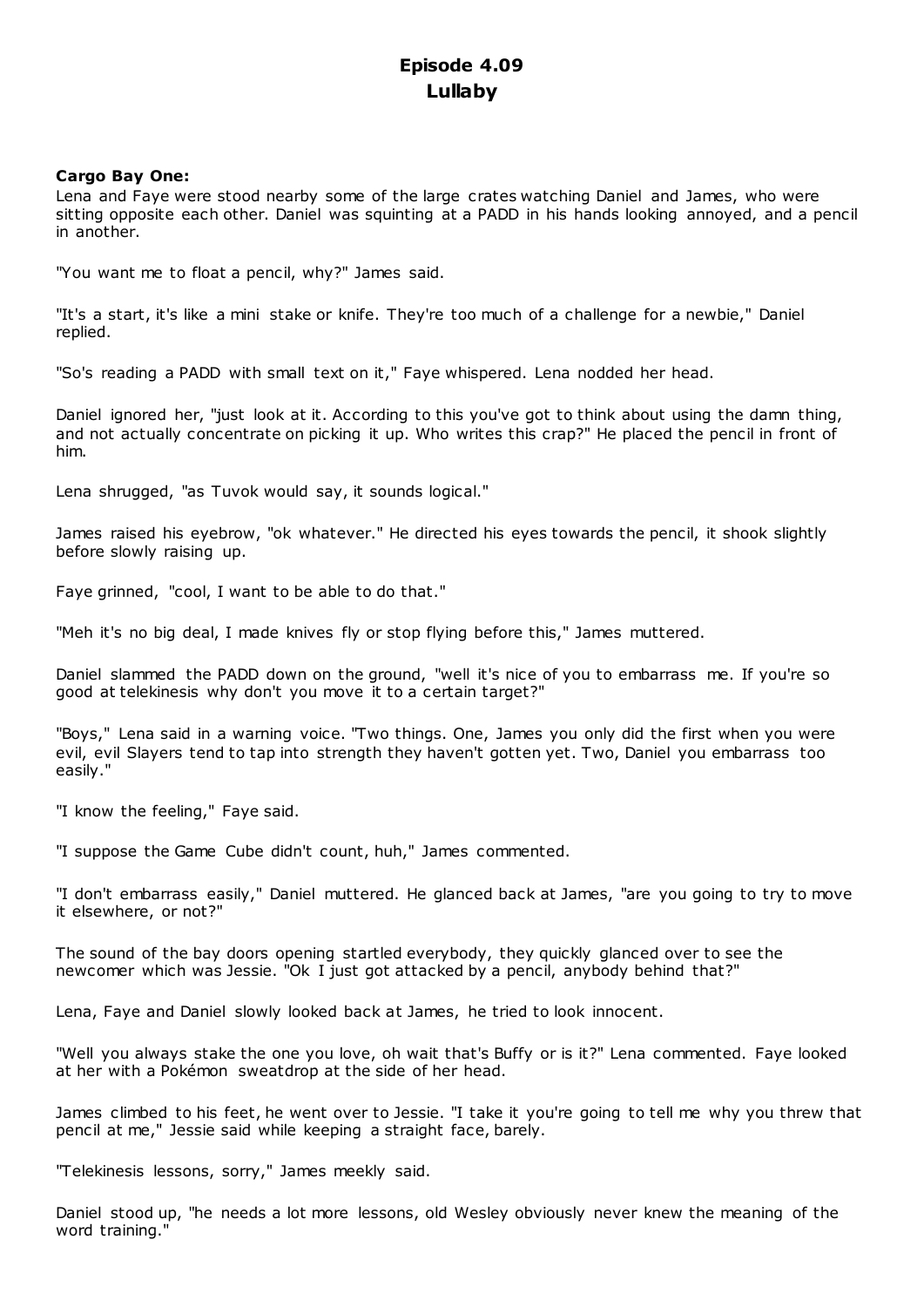# **Episode 4.09 Lullaby**

# **Cargo Bay One:**

Lena and Faye were stood nearby some of the large crates watching Daniel and James, who were sitting opposite each other. Daniel was squinting at a PADD in his hands looking annoyed, and a pencil in another.

"You want me to float a pencil, why?" James said.

"It's a start, it's like a mini stake or knife. They're too much of a challenge for a newbie," Daniel replied.

"So's reading a PADD with small text on it," Faye whispered. Lena nodded her head.

Daniel ignored her, "just look at it. According to this you've got to think about using the damn thing, and not actually concentrate on picking it up. Who writes this crap?" He placed the pencil in front of him.

Lena shrugged, "as Tuvok would say, it sounds logical."

James raised his eyebrow, "ok whatever." He directed his eyes towards the pencil, it shook slightly before slowly raising up.

Faye grinned, "cool, I want to be able to do that."

"Meh it's no big deal, I made knives fly or stop flying before this," James muttered.

Daniel slammed the PADD down on the ground, "well it's nice of you to embarrass me. If you're so good at telekinesis why don't you move it to a certain target?"

"Boys," Lena said in a warning voice. "Two things. One, James you only did the first when you were evil, evil Slayers tend to tap into strength they haven't gotten yet. Two, Daniel you embarrass too easily."

"I know the feeling," Faye said.

"I suppose the Game Cube didn't count, huh," James commented.

"I don't embarrass easily," Daniel muttered. He glanced back at James, "are you going to try to move it elsewhere, or not?"

The sound of the bay doors opening startled everybody, they quickly glanced over to see the newcomer which was Jessie. "Ok I just got attacked by a pencil, anybody behind that?"

Lena, Faye and Daniel slowly looked back at James, he tried to look innocent.

"Well you always stake the one you love, oh wait that's Buffy or is it?" Lena commented. Faye looked at her with a Pokémon sweatdrop at the side of her head.

James climbed to his feet, he went over to Jessie. "I take it you're going to tell me why you threw that pencil at me," Jessie said while keeping a straight face, barely.

"Telekinesis lessons, sorry," James meekly said.

Daniel stood up, "he needs a lot more lessons, old Wesley obviously never knew the meaning of the word training."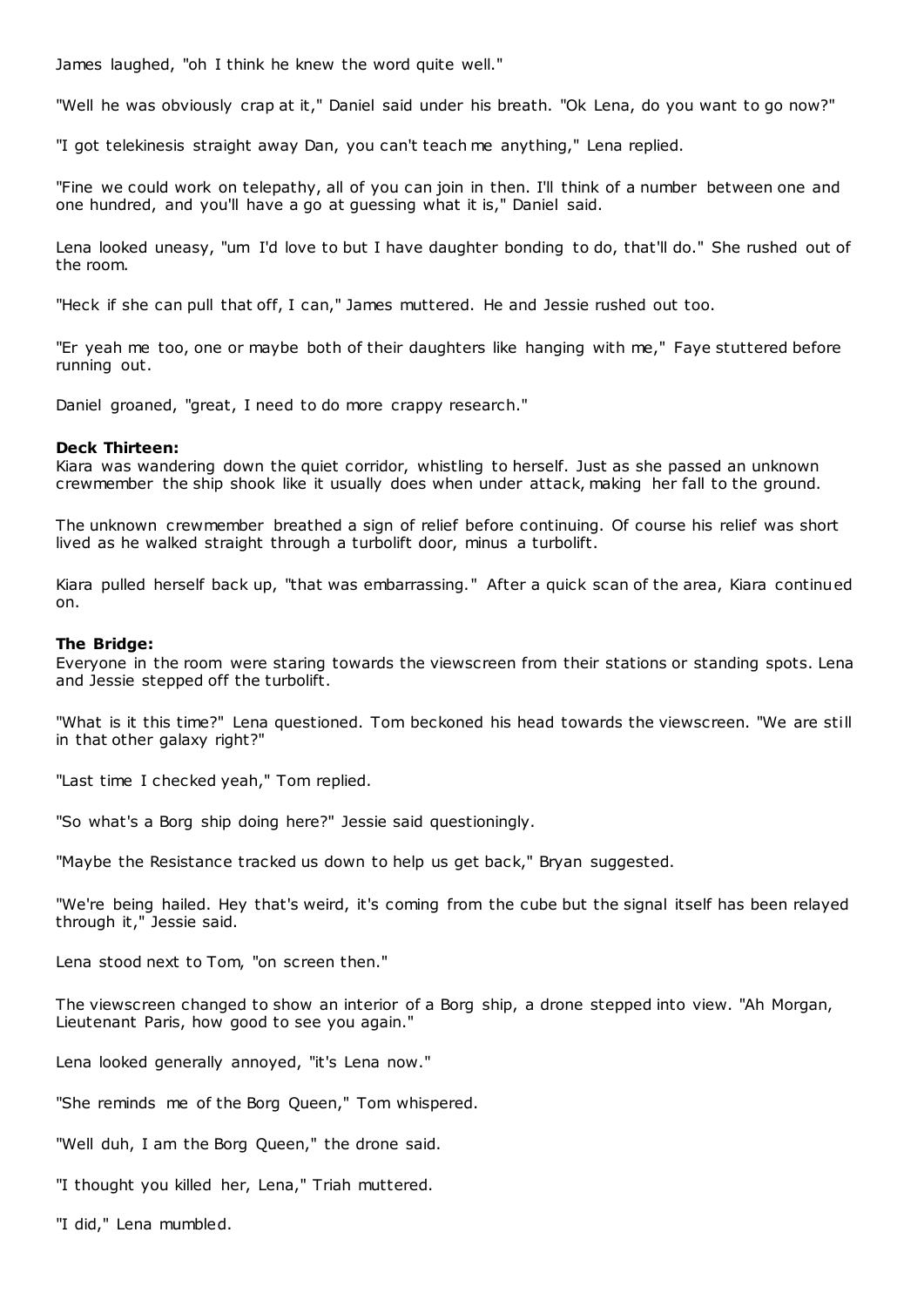James laughed, "oh I think he knew the word quite well."

"Well he was obviously crap at it," Daniel said under his breath. "Ok Lena, do you want to go now?"

"I got telekinesis straight away Dan, you can't teach me anything," Lena replied.

"Fine we could work on telepathy, all of you can join in then. I'll think of a number between one and one hundred, and you'll have a go at guessing what it is," Daniel said.

Lena looked uneasy, "um I'd love to but I have daughter bonding to do, that'll do." She rushed out of the room.

"Heck if she can pull that off, I can," James muttered. He and Jessie rushed out too.

"Er yeah me too, one or maybe both of their daughters like hanging with me," Faye stuttered before running out.

Daniel groaned, "great, I need to do more crappy research."

## **Deck Thirteen:**

Kiara was wandering down the quiet corridor, whistling to herself. Just as she passed an unknown crewmember the ship shook like it usually does when under attack, making her fall to the ground.

The unknown crewmember breathed a sign of relief before continuing. Of course his relief was short lived as he walked straight through a turbolift door, minus a turbolift.

Kiara pulled herself back up, "that was embarrassing." After a quick scan of the area, Kiara continued on.

#### **The Bridge:**

Everyone in the room were staring towards the viewscreen from their stations or standing spots. Lena and Jessie stepped off the turbolift.

"What is it this time?" Lena questioned. Tom beckoned his head towards the viewscreen. "We are still in that other galaxy right?"

"Last time I checked yeah," Tom replied.

"So what's a Borg ship doing here?" Jessie said questioningly.

"Maybe the Resistance tracked us down to help us get back," Bryan suggested.

"We're being hailed. Hey that's weird, it's coming from the cube but the signal itself has been relayed through it," Jessie said.

Lena stood next to Tom, "on screen then."

The viewscreen changed to show an interior of a Borg ship, a drone stepped into view. "Ah Morgan, Lieutenant Paris, how good to see you again."

Lena looked generally annoyed, "it's Lena now."

"She reminds me of the Borg Queen," Tom whispered.

"Well duh, I am the Borg Queen," the drone said.

"I thought you killed her, Lena," Triah muttered.

"I did," Lena mumbled.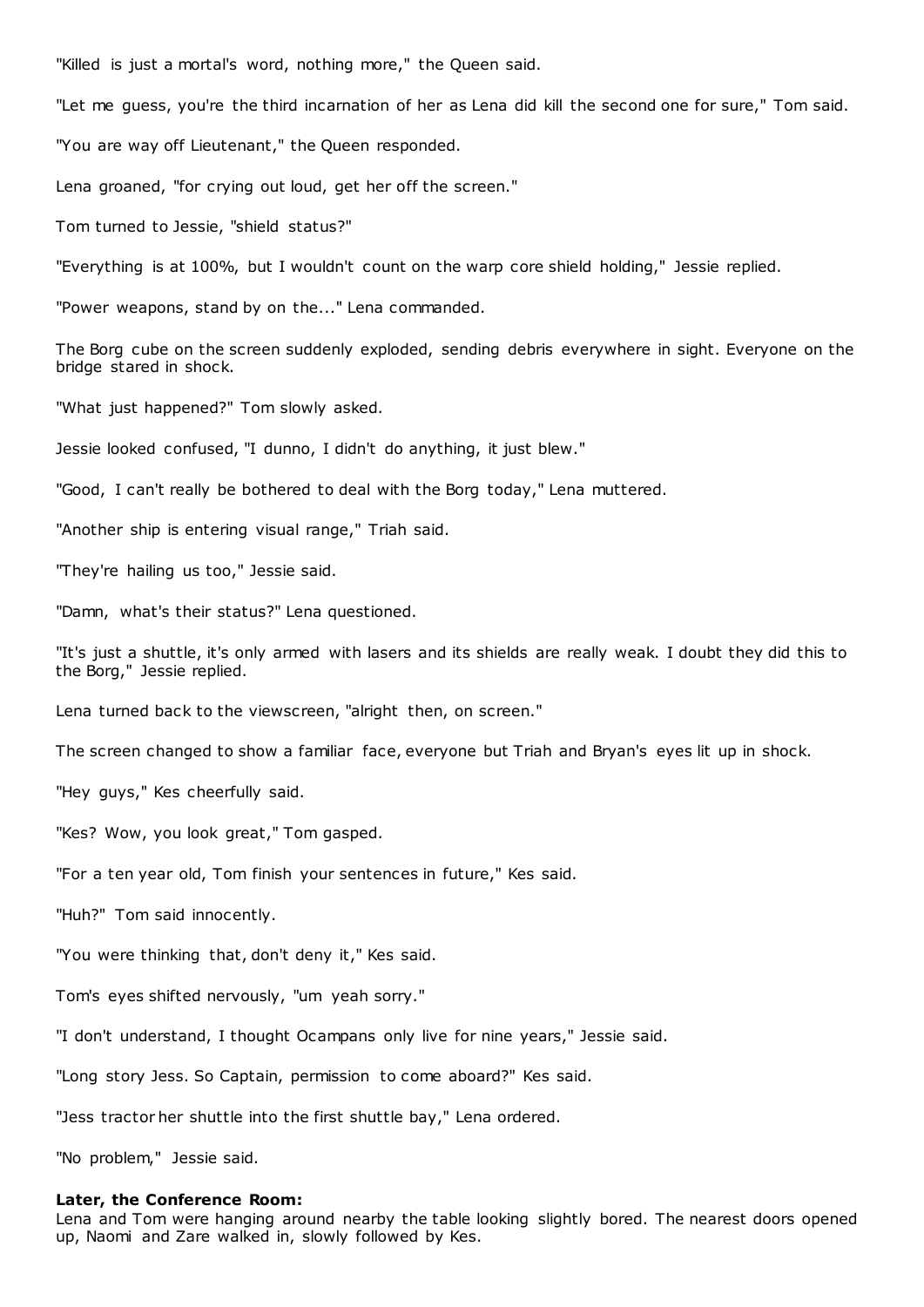"Killed is just a mortal's word, nothing more," the Queen said.

"Let me guess, you're the third incarnation of her as Lena did kill the second one for sure," Tom said.

"You are way off Lieutenant," the Queen responded.

Lena groaned, "for crying out loud, get her off the screen."

Tom turned to Jessie, "shield status?"

"Everything is at 100%, but I wouldn't count on the warp core shield holding," Jessie replied.

"Power weapons, stand by on the..." Lena commanded.

The Borg cube on the screen suddenly exploded, sending debris everywhere in sight. Everyone on the bridge stared in shock.

"What just happened?" Tom slowly asked.

Jessie looked confused, "I dunno, I didn't do anything, it just blew."

"Good, I can't really be bothered to deal with the Borg today," Lena muttered.

"Another ship is entering visual range," Triah said.

"They're hailing us too," Jessie said.

"Damn, what's their status?" Lena questioned.

"It's just a shuttle, it's only armed with lasers and its shields are really weak. I doubt they did this to the Borg," Jessie replied.

Lena turned back to the viewscreen, "alright then, on screen."

The screen changed to show a familiar face, everyone but Triah and Bryan's eyes lit up in shock.

"Hey guys," Kes cheerfully said.

"Kes? Wow, you look great," Tom gasped.

"For a ten year old, Tom finish your sentences in future," Kes said.

"Huh?" Tom said innocently.

"You were thinking that, don't deny it," Kes said.

Tom's eyes shifted nervously, "um yeah sorry."

"I don't understand, I thought Ocampans only live for nine years," Jessie said.

"Long story Jess. So Captain, permission to come aboard?" Kes said.

"Jess tractor her shuttle into the first shuttle bay," Lena ordered.

"No problem," Jessie said.

## **Later, the Conference Room:**

Lena and Tom were hanging around nearby the table looking slightly bored. The nearest doors opened up, Naomi and Zare walked in, slowly followed by Kes.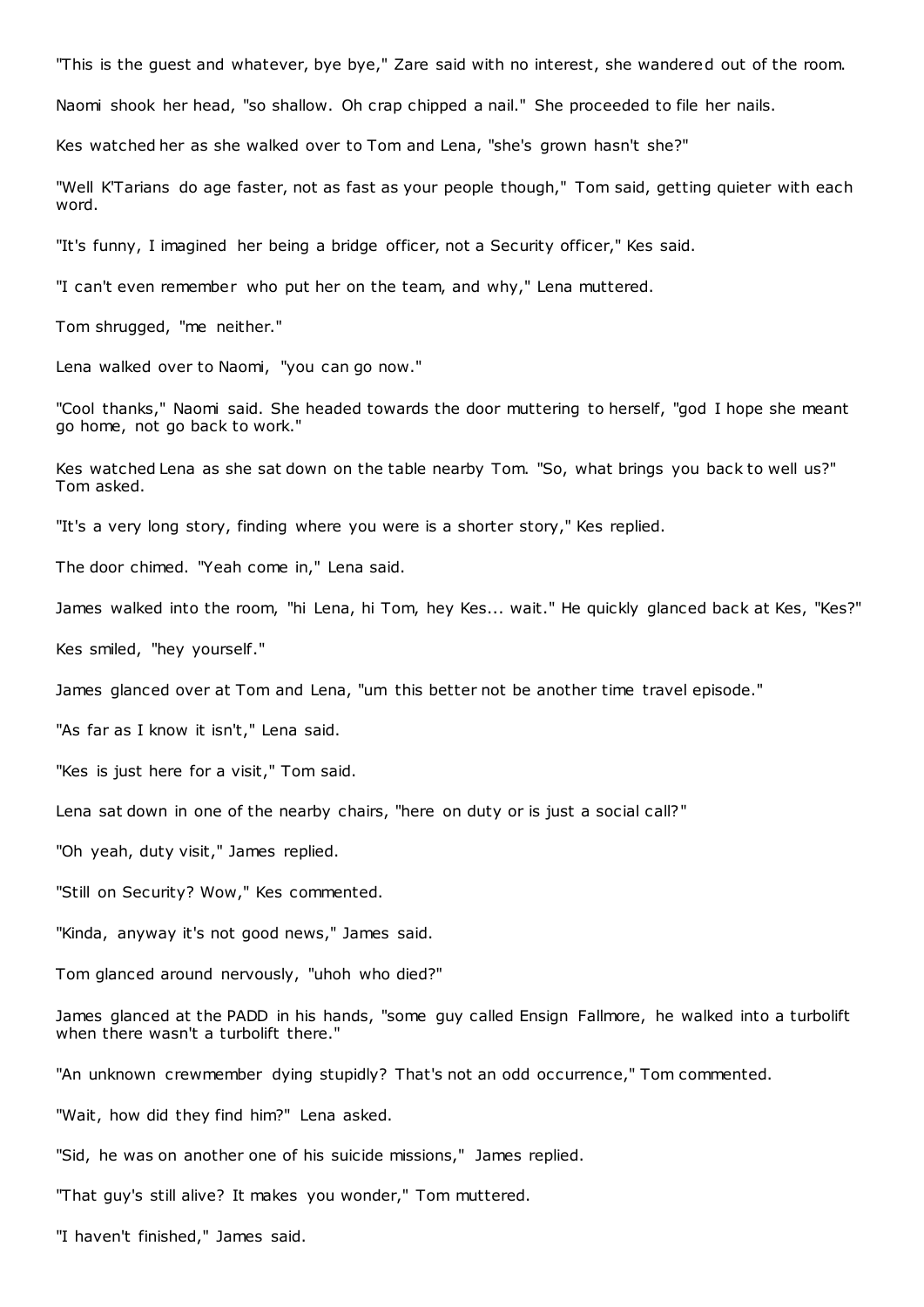"This is the guest and whatever, bye bye," Zare said with no interest, she wandered out of the room.

Naomi shook her head, "so shallow. Oh crap chipped a nail." She proceeded to file her nails.

Kes watched her as she walked over to Tom and Lena, "she's grown hasn't she?"

"Well K'Tarians do age faster, not as fast as your people though," Tom said, getting quieter with each word.

"It's funny, I imagined her being a bridge officer, not a Security officer," Kes said.

"I can't even remember who put her on the team, and why," Lena muttered.

Tom shrugged, "me neither."

Lena walked over to Naomi, "you can go now."

"Cool thanks," Naomi said. She headed towards the door muttering to herself, "god I hope she meant go home, not go back to work."

Kes watched Lena as she sat down on the table nearby Tom. "So, what brings you back to well us?" Tom asked.

"It's a very long story, finding where you were is a shorter story," Kes replied.

The door chimed. "Yeah come in," Lena said.

James walked into the room, "hi Lena, hi Tom, hey Kes... wait." He quickly glanced back at Kes, "Kes?"

Kes smiled, "hey yourself."

James glanced over at Tom and Lena, "um this better not be another time travel episode."

"As far as I know it isn't," Lena said.

"Kes is just here for a visit," Tom said.

Lena sat down in one of the nearby chairs, "here on duty or is just a social call?"

"Oh yeah, duty visit," James replied.

"Still on Security? Wow," Kes commented.

"Kinda, anyway it's not good news," James said.

Tom glanced around nervously, "uhoh who died?"

James glanced at the PADD in his hands, "some guy called Ensign Fallmore, he walked into a turbolift when there wasn't a turbolift there."

"An unknown crewmember dying stupidly? That's not an odd occurrence," Tom commented.

"Wait, how did they find him?" Lena asked.

"Sid, he was on another one of his suicide missions," James replied.

"That guy's still alive? It makes you wonder," Tom muttered.

"I haven't finished," James said.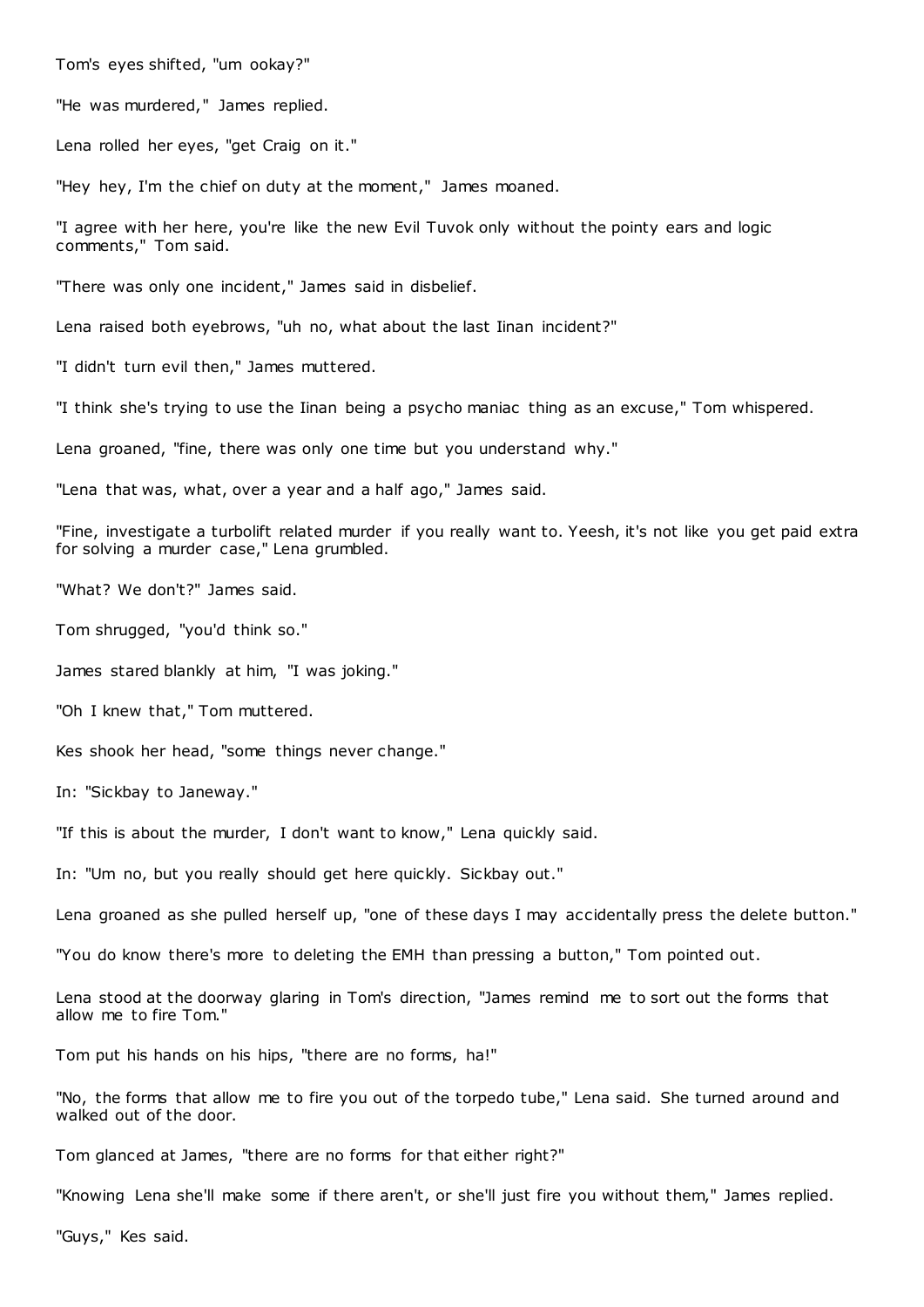Tom's eyes shifted, "um ookay?"

"He was murdered," James replied.

Lena rolled her eyes, "get Craig on it."

"Hey hey, I'm the chief on duty at the moment," James moaned.

"I agree with her here, you're like the new Evil Tuvok only without the pointy ears and logic comments," Tom said.

"There was only one incident," James said in disbelief.

Lena raised both eyebrows, "uh no, what about the last Iinan incident?"

"I didn't turn evil then," James muttered.

"I think she's trying to use the Iinan being a psycho maniac thing as an excuse," Tom whispered.

Lena groaned, "fine, there was only one time but you understand why."

"Lena that was, what, over a year and a half ago," James said.

"Fine, investigate a turbolift related murder if you really want to. Yeesh, it's not like you get paid extra for solving a murder case," Lena grumbled.

"What? We don't?" James said.

Tom shrugged, "you'd think so."

James stared blankly at him, "I was joking."

"Oh I knew that," Tom muttered.

Kes shook her head, "some things never change."

In: "Sickbay to Janeway."

"If this is about the murder, I don't want to know," Lena quickly said.

In: "Um no, but you really should get here quickly. Sickbay out."

Lena groaned as she pulled herself up, "one of these days I may accidentally press the delete button."

"You do know there's more to deleting the EMH than pressing a button," Tom pointed out.

Lena stood at the doorway glaring in Tom's direction, "James remind me to sort out the forms that allow me to fire Tom."

Tom put his hands on his hips, "there are no forms, ha!"

"No, the forms that allow me to fire you out of the torpedo tube," Lena said. She turned around and walked out of the door.

Tom glanced at James, "there are no forms for that either right?"

"Knowing Lena she'll make some if there aren't, or she'll just fire you without them," James replied.

"Guys," Kes said.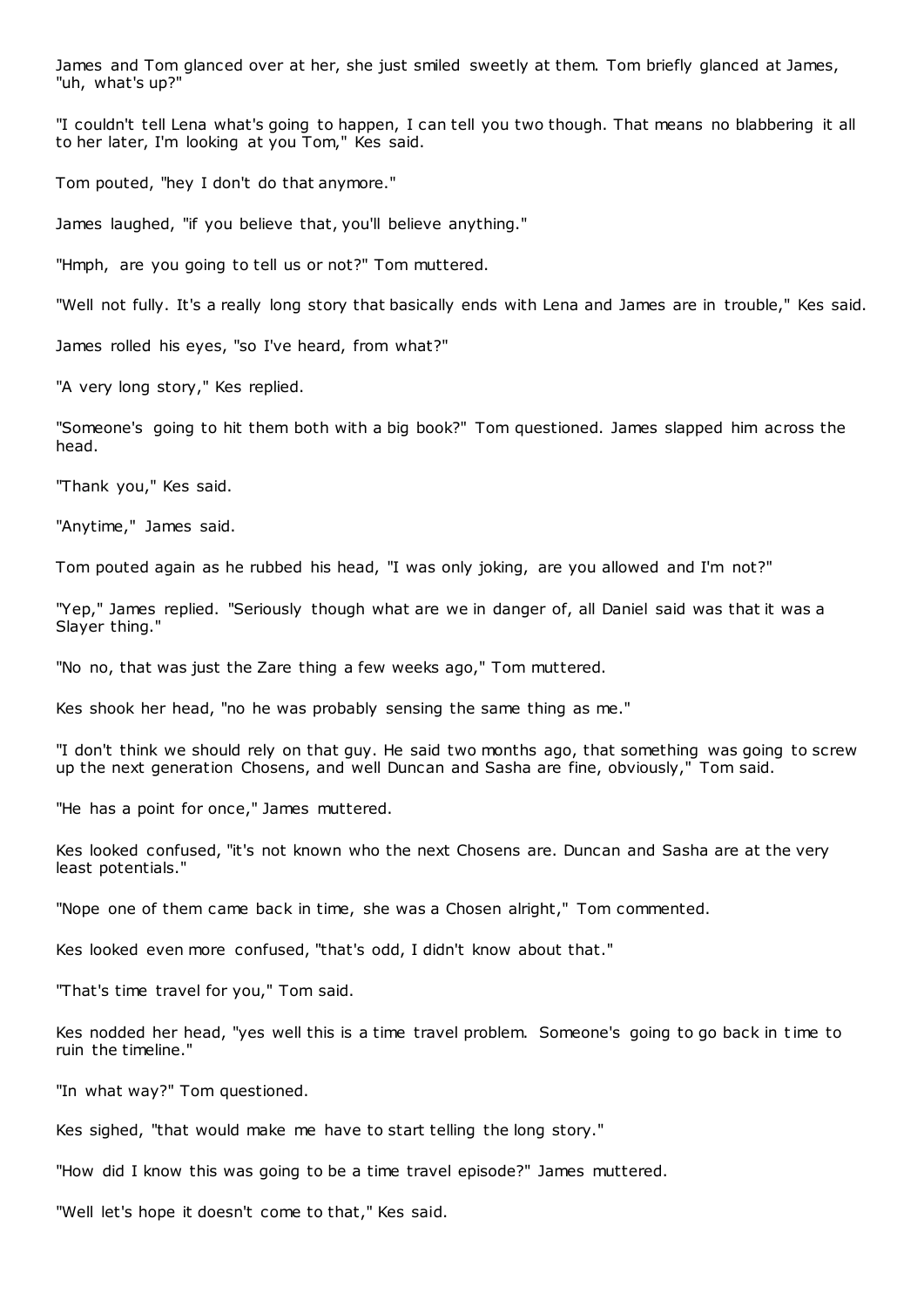James and Tom glanced over at her, she just smiled sweetly at them. Tom briefly glanced at James, "uh, what's up?"

"I couldn't tell Lena what's going to happen, I can tell you two though. That means no blabbering it all to her later, I'm looking at you Tom," Kes said.

Tom pouted, "hey I don't do that anymore."

James laughed, "if you believe that, you'll believe anything."

"Hmph, are you going to tell us or not?" Tom muttered.

"Well not fully. It's a really long story that basically ends with Lena and James are in trouble," Kes said.

James rolled his eyes, "so I've heard, from what?"

"A very long story," Kes replied.

"Someone's going to hit them both with a big book?" Tom questioned. James slapped him across the head.

"Thank you," Kes said.

"Anytime," James said.

Tom pouted again as he rubbed his head, "I was only joking, are you allowed and I'm not?"

"Yep," James replied. "Seriously though what are we in danger of, all Daniel said was that it was a Slayer thing."

"No no, that was just the Zare thing a few weeks ago," Tom muttered.

Kes shook her head, "no he was probably sensing the same thing as me."

"I don't think we should rely on that guy. He said two months ago, that something was going to screw up the next generation Chosens, and well Duncan and Sasha are fine, obviously," Tom said.

"He has a point for once," James muttered.

Kes looked confused, "it's not known who the next Chosens are. Duncan and Sasha are at the very least potentials."

"Nope one of them came back in time, she was a Chosen alright," Tom commented.

Kes looked even more confused, "that's odd, I didn't know about that."

"That's time travel for you," Tom said.

Kes nodded her head, "yes well this is a time travel problem. Someone's going to go back in time to ruin the timeline."

"In what way?" Tom questioned.

Kes sighed, "that would make me have to start telling the long story."

"How did I know this was going to be a time travel episode?" James muttered.

"Well let's hope it doesn't come to that," Kes said.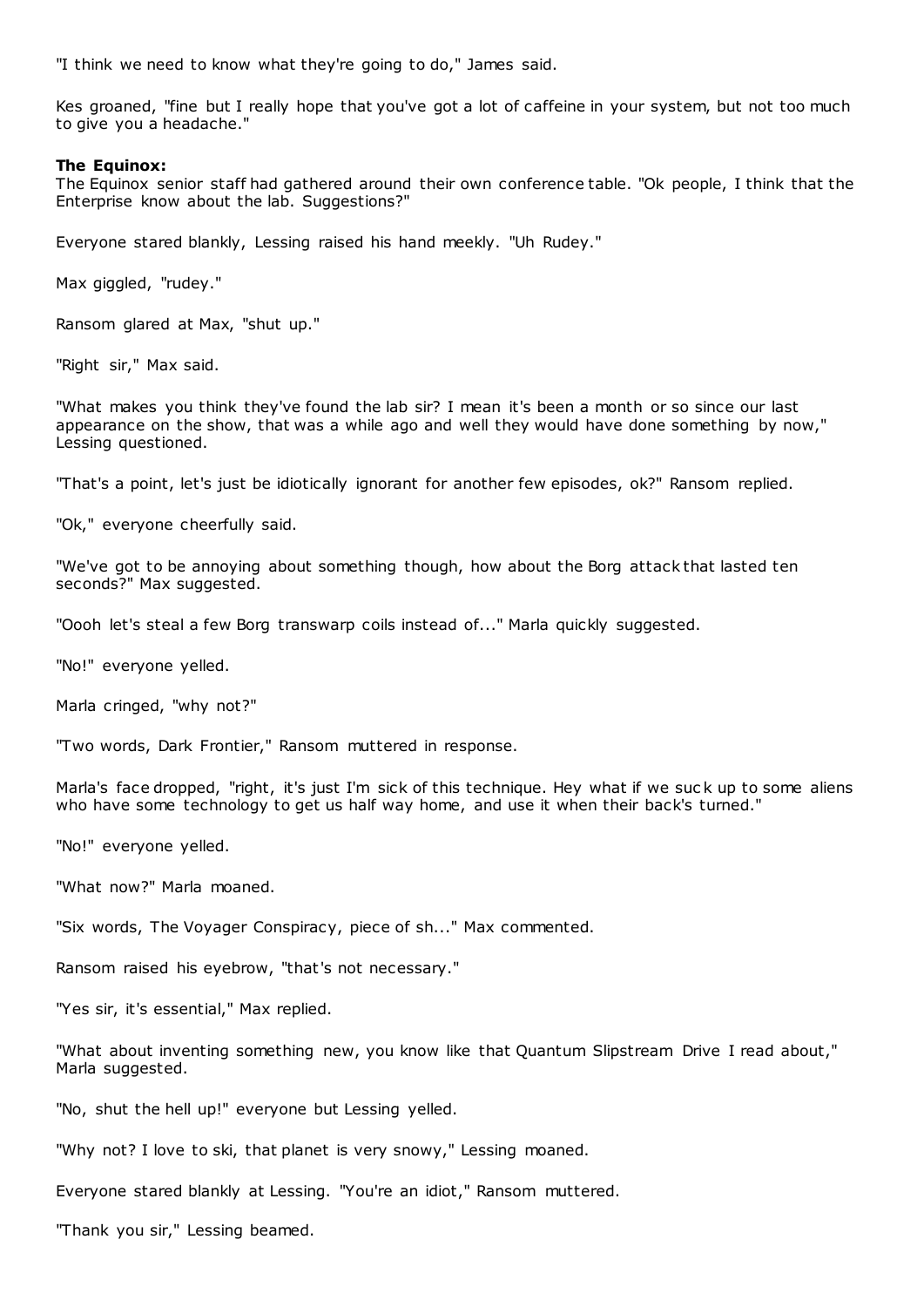"I think we need to know what they're going to do," James said.

Kes groaned, "fine but I really hope that you've got a lot of caffeine in your system, but not too much to give you a headache."

## **The Equinox:**

The Equinox senior staff had gathered around their own conference table. "Ok people, I think that the Enterprise know about the lab. Suggestions?"

Everyone stared blankly, Lessing raised his hand meekly. "Uh Rudey."

Max giggled, "rudey."

Ransom glared at Max, "shut up."

"Right sir," Max said.

"What makes you think they've found the lab sir? I mean it's been a month or so since our last appearance on the show, that was a while ago and well they would have done something by now," Lessing questioned.

"That's a point, let's just be idiotically ignorant for another few episodes, ok?" Ransom replied.

"Ok," everyone cheerfully said.

"We've got to be annoying about something though, how about the Borg attack that lasted ten seconds?" Max suggested.

"Oooh let's steal a few Borg transwarp coils instead of..." Marla quickly suggested.

"No!" everyone yelled.

Marla cringed, "why not?"

"Two words, Dark Frontier," Ransom muttered in response.

Marla's face dropped, "right, it's just I'm sick of this technique. Hey what if we suc k up to some aliens who have some technology to get us half way home, and use it when their back's turned."

"No!" everyone yelled.

"What now?" Marla moaned.

"Six words, The Voyager Conspiracy, piece of sh..." Max commented.

Ransom raised his eyebrow, "that's not necessary."

"Yes sir, it's essential," Max replied.

"What about inventing something new, you know like that Quantum Slipstream Drive I read about," Marla suggested.

"No, shut the hell up!" everyone but Lessing yelled.

"Why not? I love to ski, that planet is very snowy," Lessing moaned.

Everyone stared blankly at Lessing. "You're an idiot," Ransom muttered.

"Thank you sir," Lessing beamed.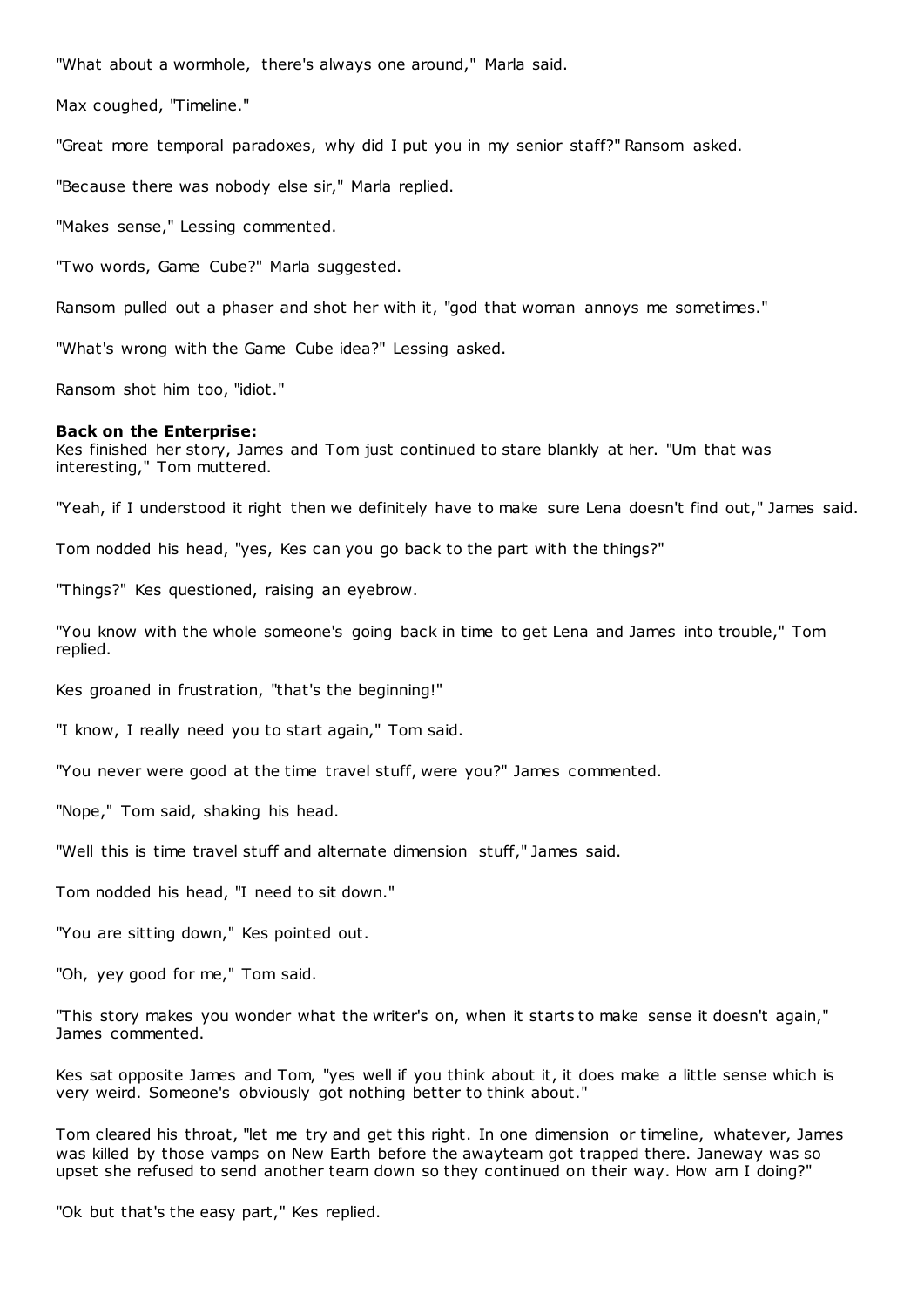"What about a wormhole, there's always one around," Marla said.

Max coughed, "Timeline."

"Great more temporal paradoxes, why did I put you in my senior staff?" Ransom asked.

"Because there was nobody else sir," Marla replied.

"Makes sense," Lessing commented.

"Two words, Game Cube?" Marla suggested.

Ransom pulled out a phaser and shot her with it, "god that woman annoys me sometimes."

"What's wrong with the Game Cube idea?" Lessing asked.

Ransom shot him too, "idiot."

## **Back on the Enterprise:**

Kes finished her story, James and Tom just continued to stare blankly at her. "Um that was interesting," Tom muttered.

"Yeah, if I understood it right then we definitely have to make sure Lena doesn't find out," James said.

Tom nodded his head, "yes, Kes can you go back to the part with the things?"

"Things?" Kes questioned, raising an eyebrow.

"You know with the whole someone's going back in time to get Lena and James into trouble," Tom replied.

Kes groaned in frustration, "that's the beginning!"

"I know, I really need you to start again," Tom said.

"You never were good at the time travel stuff, were you?" James commented.

"Nope," Tom said, shaking his head.

"Well this is time travel stuff and alternate dimension stuff," James said.

Tom nodded his head, "I need to sit down."

"You are sitting down," Kes pointed out.

"Oh, yey good for me," Tom said.

"This story makes you wonder what the writer's on, when it starts to make sense it doesn't again," James commented.

Kes sat opposite James and Tom, "yes well if you think about it, it does make a little sense which is very weird. Someone's obviously got nothing better to think about."

Tom cleared his throat, "let me try and get this right. In one dimension or timeline, whatever, James was killed by those vamps on New Earth before the awayteam got trapped there. Janeway was so upset she refused to send another team down so they continued on their way. How am I doing?"

"Ok but that's the easy part," Kes replied.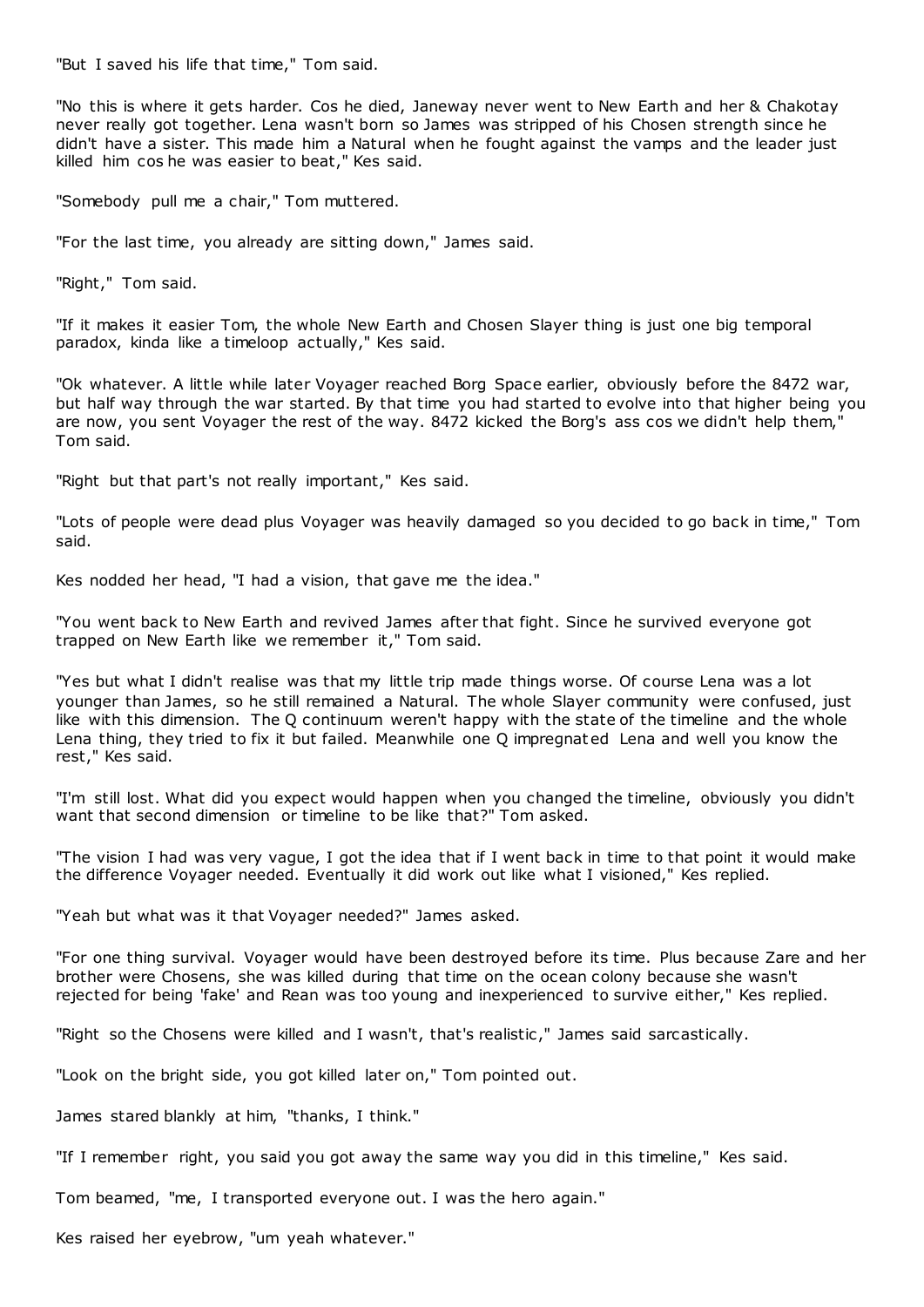"But I saved his life that time," Tom said.

"No this is where it gets harder. Cos he died, Janeway never went to New Earth and her & Chakotay never really got together. Lena wasn't born so James was stripped of his Chosen strength since he didn't have a sister. This made him a Natural when he fought against the vamps and the leader just killed him cos he was easier to beat," Kes said.

"Somebody pull me a chair," Tom muttered.

"For the last time, you already are sitting down," James said.

"Right," Tom said.

"If it makes it easier Tom, the whole New Earth and Chosen Slayer thing is just one big temporal paradox, kinda like a timeloop actually," Kes said.

"Ok whatever. A little while later Voyager reached Borg Space earlier, obviously before the 8472 war, but half way through the war started. By that time you had started to evolve into that higher being you are now, you sent Voyager the rest of the way. 8472 kicked the Borg's ass cos we didn't help them," Tom said.

"Right but that part's not really important," Kes said.

"Lots of people were dead plus Voyager was heavily damaged so you decided to go back in time," Tom said.

Kes nodded her head, "I had a vision, that gave me the idea."

"You went back to New Earth and revived James after that fight. Since he survived everyone got trapped on New Earth like we remember it," Tom said.

"Yes but what I didn't realise was that my little trip made things worse. Of course Lena was a lot younger than James, so he still remained a Natural. The whole Slayer community were confused, just like with this dimension. The Q continuum weren't happy with the state of the timeline and the whole Lena thing, they tried to fix it but failed. Meanwhile one Q impregnat ed Lena and well you know the rest," Kes said.

"I'm still lost. What did you expect would happen when you changed the timeline, obviously you didn't want that second dimension or timeline to be like that?" Tom asked.

"The vision I had was very vague, I got the idea that if I went back in time to that point it would make the difference Voyager needed. Eventually it did work out like what I visioned," Kes replied.

"Yeah but what was it that Voyager needed?" James asked.

"For one thing survival. Voyager would have been destroyed before its time. Plus because Zare and her brother were Chosens, she was killed during that time on the ocean colony because she wasn't rejected for being 'fake' and Rean was too young and inexperienced to survive either," Kes replied.

"Right so the Chosens were killed and I wasn't, that's realistic ," James said sarcastically.

"Look on the bright side, you got killed later on," Tom pointed out.

James stared blankly at him, "thanks, I think."

"If I remember right, you said you got away the same way you did in this timeline," Kes said.

Tom beamed, "me, I transported everyone out. I was the hero again."

Kes raised her eyebrow, "um yeah whatever."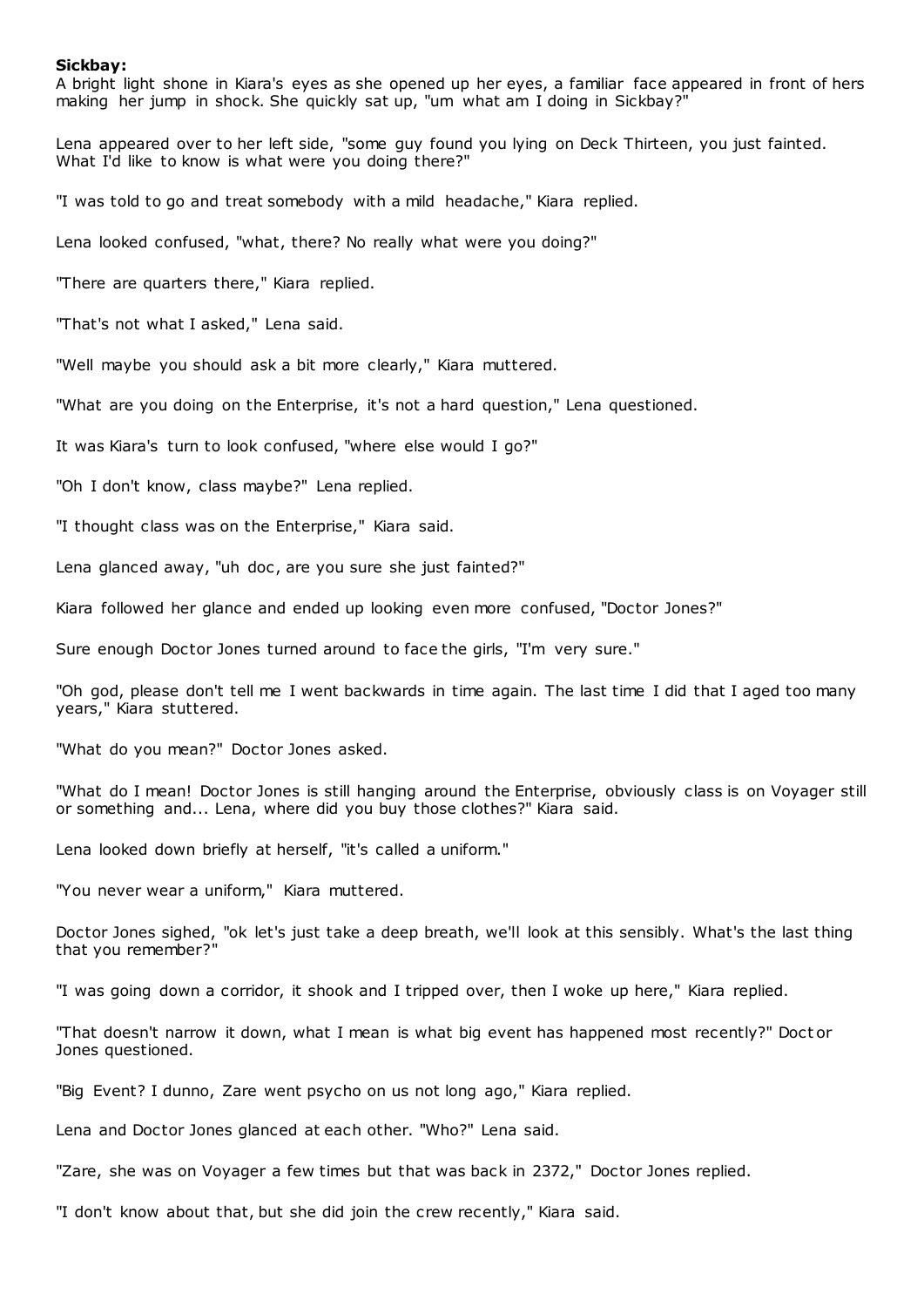## **Sickbay:**

A bright light shone in Kiara's eyes as she opened up her eyes, a familiar face appeared in front of hers making her jump in shock. She quickly sat up, "um what am I doing in Sickbay?"

Lena appeared over to her left side, "some guy found you lying on Deck Thirteen, you just fainted. What I'd like to know is what were you doing there?"

"I was told to go and treat somebody with a mild headache," Kiara replied.

Lena looked confused, "what, there? No really what were you doing?"

"There are quarters there," Kiara replied.

"That's not what I asked," Lena said.

"Well maybe you should ask a bit more clearly," Kiara muttered.

"What are you doing on the Enterprise, it's not a hard question," Lena questioned.

It was Kiara's turn to look confused, "where else would I go?"

"Oh I don't know, class maybe?" Lena replied.

"I thought class was on the Enterprise," Kiara said.

Lena glanced away, "uh doc, are you sure she just fainted?"

Kiara followed her glance and ended up looking even more confused, "Doctor Jones?"

Sure enough Doctor Jones turned around to face the girls, "I'm very sure."

"Oh god, please don't tell me I went backwards in time again. The last time I did that I aged too many years," Kiara stuttered.

"What do you mean?" Doctor Jones asked.

"What do I mean! Doctor Jones is still hanging around the Enterprise, obviously class is on Voyager still or something and... Lena, where did you buy those clothes?" Kiara said.

Lena looked down briefly at herself, "it's called a uniform."

"You never wear a uniform," Kiara muttered.

Doctor Jones sighed, "ok let's just take a deep breath, we'll look at this sensibly. What's the last thing that you remember?"

"I was going down a corridor, it shook and I tripped over, then I woke up here," Kiara replied.

"That doesn't narrow it down, what I mean is what big event has happened most recently?" Doct or Jones questioned.

"Big Event? I dunno, Zare went psycho on us not long ago," Kiara replied.

Lena and Doctor Jones glanced at each other. "Who?" Lena said.

"Zare, she was on Voyager a few times but that was back in 2372," Doctor Jones replied.

"I don't know about that, but she did join the crew recently," Kiara said.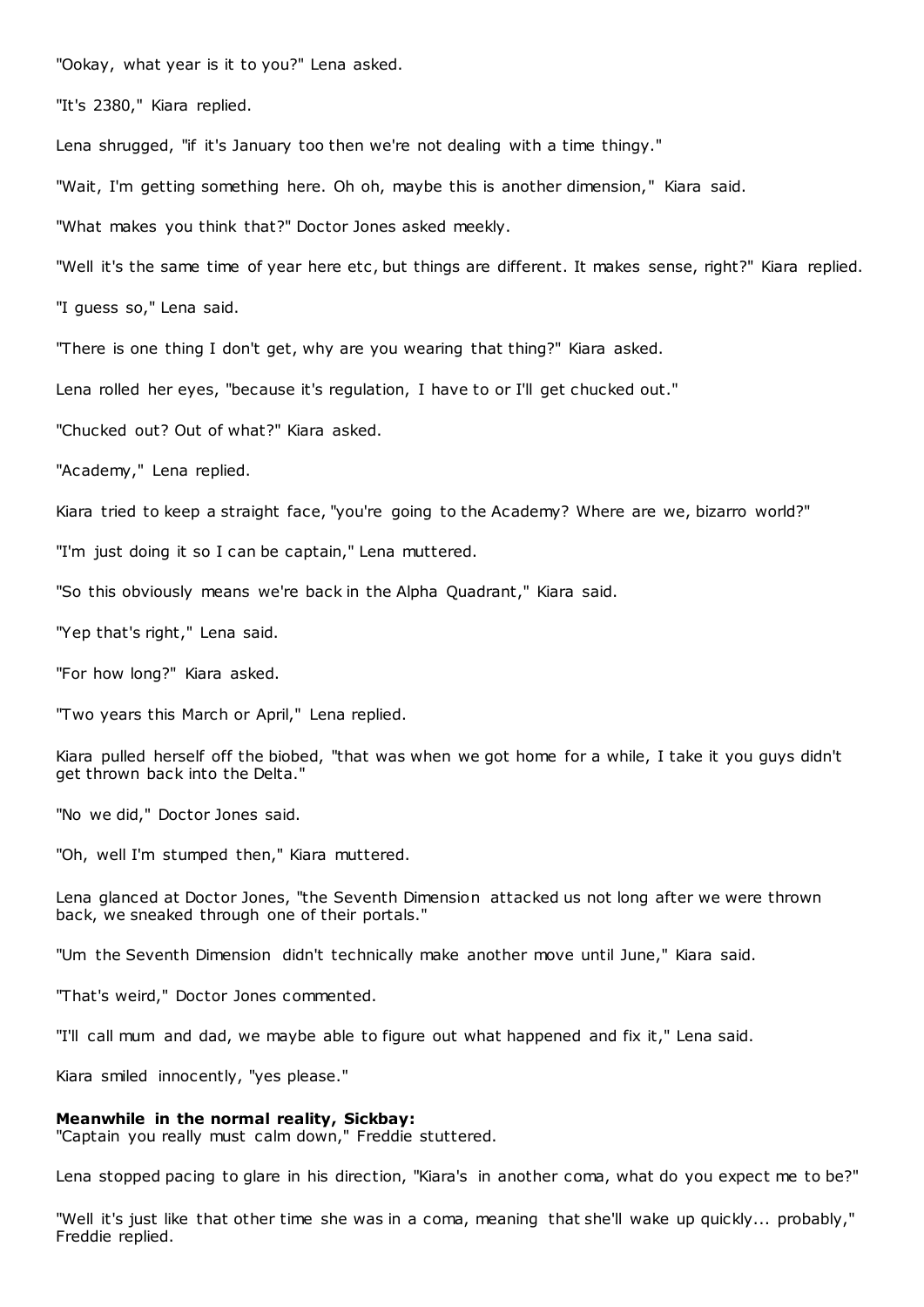"Ookay, what year is it to you?" Lena asked.

"It's 2380," Kiara replied.

Lena shrugged, "if it's January too then we're not dealing with a time thingy."

"Wait, I'm getting something here. Oh oh, maybe this is another dimension," Kiara said.

"What makes you think that?" Doctor Jones asked meekly.

"Well it's the same time of year here etc , but things are different. It makes sense, right?" Kiara replied.

"I guess so," Lena said.

"There is one thing I don't get, why are you wearing that thing?" Kiara asked.

Lena rolled her eyes, "because it's regulation, I have to or I'll get chucked out."

"Chucked out? Out of what?" Kiara asked.

"Academy," Lena replied.

Kiara tried to keep a straight face, "you're going to the Academy? Where are we, bizarro world?"

"I'm just doing it so I can be captain," Lena muttered.

"So this obviously means we're back in the Alpha Quadrant," Kiara said.

"Yep that's right," Lena said.

"For how long?" Kiara asked.

"Two years this March or April," Lena replied.

Kiara pulled herself off the biobed, "that was when we got home for a while, I take it you guys didn't get thrown back into the Delta."

"No we did," Doctor Jones said.

"Oh, well I'm stumped then," Kiara muttered.

Lena glanced at Doctor Jones, "the Seventh Dimension attacked us not long after we were thrown back, we sneaked through one of their portals."

"Um the Seventh Dimension didn't technically make another move until June," Kiara said.

"That's weird," Doctor Jones commented.

"I'll call mum and dad, we maybe able to figure out what happened and fix it," Lena said.

Kiara smiled innocently, "yes please."

## **Meanwhile in the normal reality, Sickbay:**

"Captain you really must calm down," Freddie stuttered.

Lena stopped pacing to glare in his direction, "Kiara's in another coma, what do you expect me to be?"

"Well it's just like that other time she was in a coma, meaning that she'll wake up quickly... probably," Freddie replied.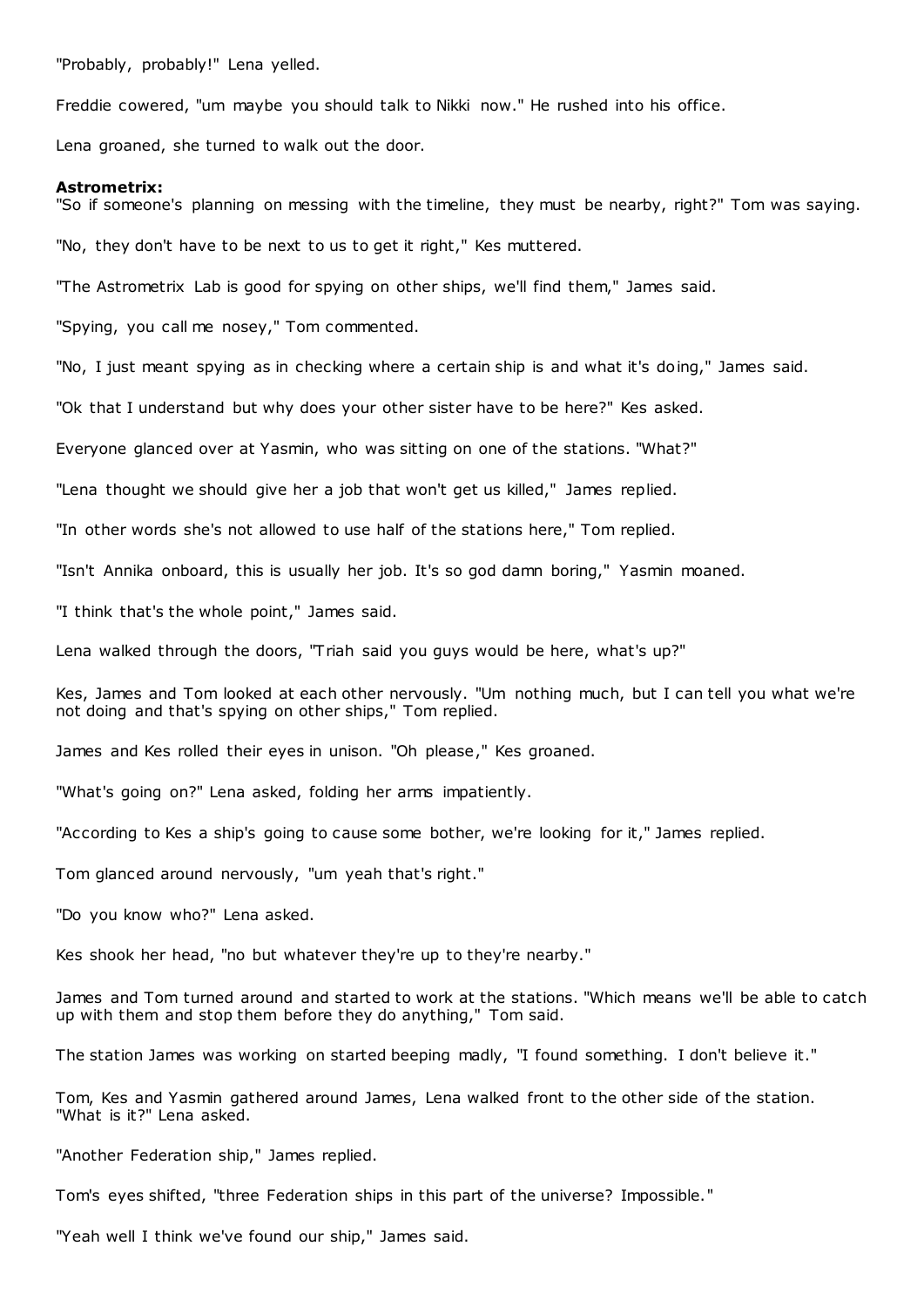"Probably, probably!" Lena yelled.

Freddie cowered, "um maybe you should talk to Nikki now." He rushed into his office.

Lena groaned, she turned to walk out the door.

#### **Astrometrix:**

"So if someone's planning on messing with the timeline, they must be nearby, right?" Tom was saying.

"No, they don't have to be next to us to get it right," Kes muttered.

"The Astrometrix Lab is good for spying on other ships, we'll find them," James said.

"Spying, you call me nosey," Tom commented.

"No, I just meant spying as in checking where a certain ship is and what it's doing," James said.

"Ok that I understand but why does your other sister have to be here?" Kes asked.

Everyone glanced over at Yasmin, who was sitting on one of the stations. "What?"

"Lena thought we should give her a job that won't get us killed," James replied.

"In other words she's not allowed to use half of the stations here," Tom replied.

"Isn't Annika onboard, this is usually her job. It's so god damn boring," Yasmin moaned.

"I think that's the whole point," James said.

Lena walked through the doors, "Triah said you guys would be here, what's up?"

Kes, James and Tom looked at each other nervously. "Um nothing much, but I can tell you what we're not doing and that's spying on other ships," Tom replied.

James and Kes rolled their eyes in unison. "Oh please," Kes groaned.

"What's going on?" Lena asked, folding her arms impatiently.

"According to Kes a ship's going to cause some bother, we're looking for it," James replied.

Tom glanced around nervously, "um yeah that's right."

"Do you know who?" Lena asked.

Kes shook her head, "no but whatever they're up to they're nearby."

James and Tom turned around and started to work at the stations. "Which means we'll be able to catch up with them and stop them before they do anything," Tom said.

The station James was working on started beeping madly, "I found something. I don't believe it."

Tom, Kes and Yasmin gathered around James, Lena walked front to the other side of the station. "What is it?" Lena asked.

"Another Federation ship," James replied.

Tom's eyes shifted, "three Federation ships in this part of the universe? Impossible."

"Yeah well I think we've found our ship," James said.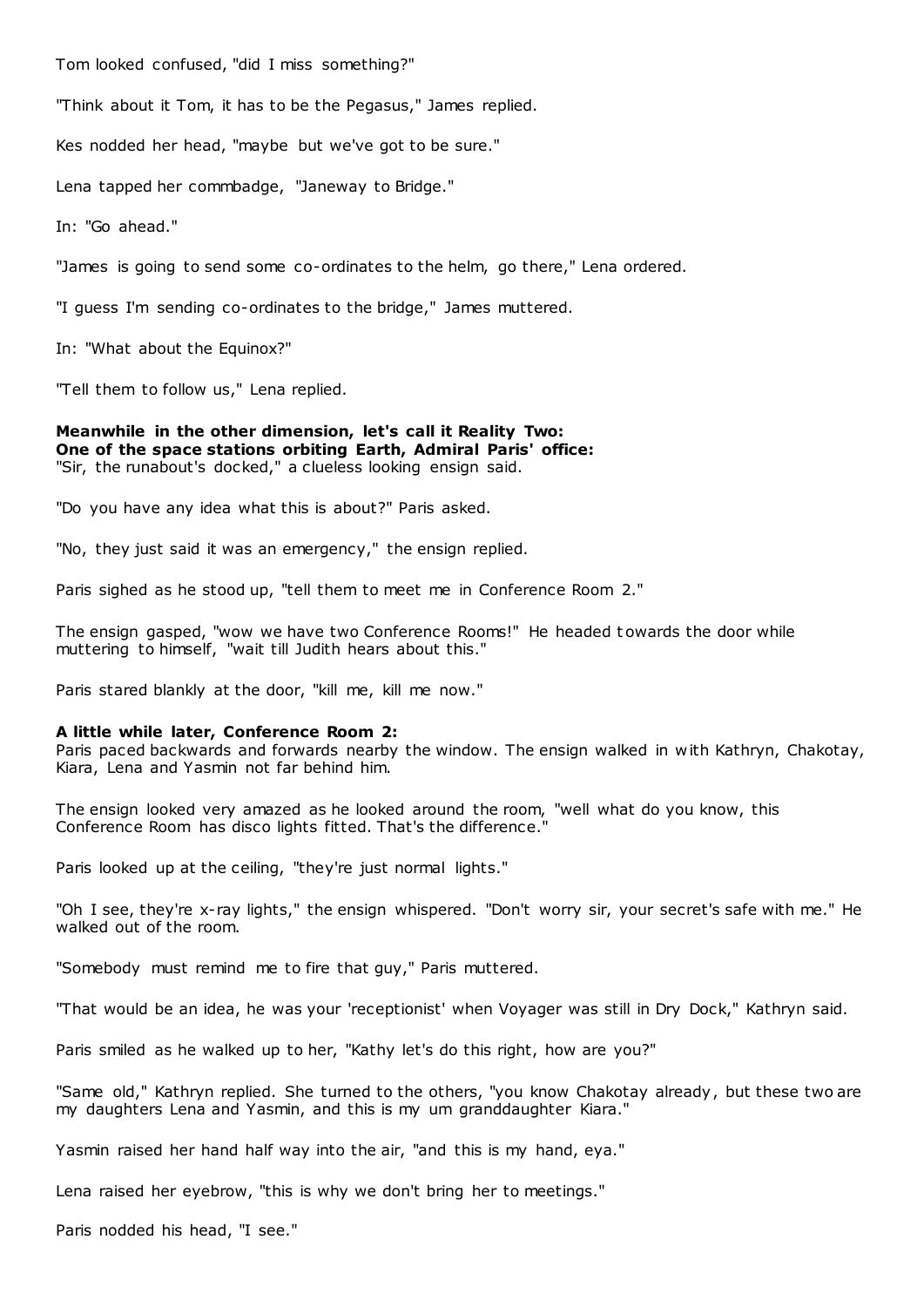Tom looked confused, "did I miss something?"

"Think about it Tom, it has to be the Pegasus," James replied.

Kes nodded her head, "maybe but we've got to be sure."

Lena tapped her commbadge, "Janeway to Bridge."

In: "Go ahead."

"James is going to send some co-ordinates to the helm, go there," Lena ordered.

"I guess I'm sending co-ordinates to the bridge," James muttered.

In: "What about the Equinox?"

"Tell them to follow us," Lena replied.

**Meanwhile in the other dimension, let's call it Reality Two: One of the space stations orbiting Earth, Admiral Paris' office:** "Sir, the runabout's docked," a clueless looking ensign said.

"Do you have any idea what this is about?" Paris asked.

"No, they just said it was an emergency," the ensign replied.

Paris sighed as he stood up, "tell them to meet me in Conference Room 2."

The ensign gasped, "wow we have two Conference Rooms!" He headed t owards the door while muttering to himself, "wait till Judith hears about this."

Paris stared blankly at the door, "kill me, kill me now."

#### **A little while later, Conference Room 2:**

Paris paced backwards and forwards nearby the window. The ensign walked in with Kathryn, Chakotay, Kiara, Lena and Yasmin not far behind him.

The ensign looked very amazed as he looked around the room, "well what do you know, this Conference Room has disco lights fitted. That's the difference."

Paris looked up at the ceiling, "they're just normal lights."

"Oh I see, they're x-ray lights," the ensign whispered. "Don't worry sir, your secret's safe with me." He walked out of the room.

"Somebody must remind me to fire that guy," Paris muttered.

"That would be an idea, he was your 'receptionist' when Voyager was still in Dry Dock," Kathryn said.

Paris smiled as he walked up to her, "Kathy let's do this right, how are you?"

"Same old," Kathryn replied. She turned to the others, "you know Chakotay already, but these two are my daughters Lena and Yasmin, and this is my um granddaughter Kiara."

Yasmin raised her hand half way into the air, "and this is my hand, eya."

Lena raised her eyebrow, "this is why we don't bring her to meetings."

Paris nodded his head, "I see."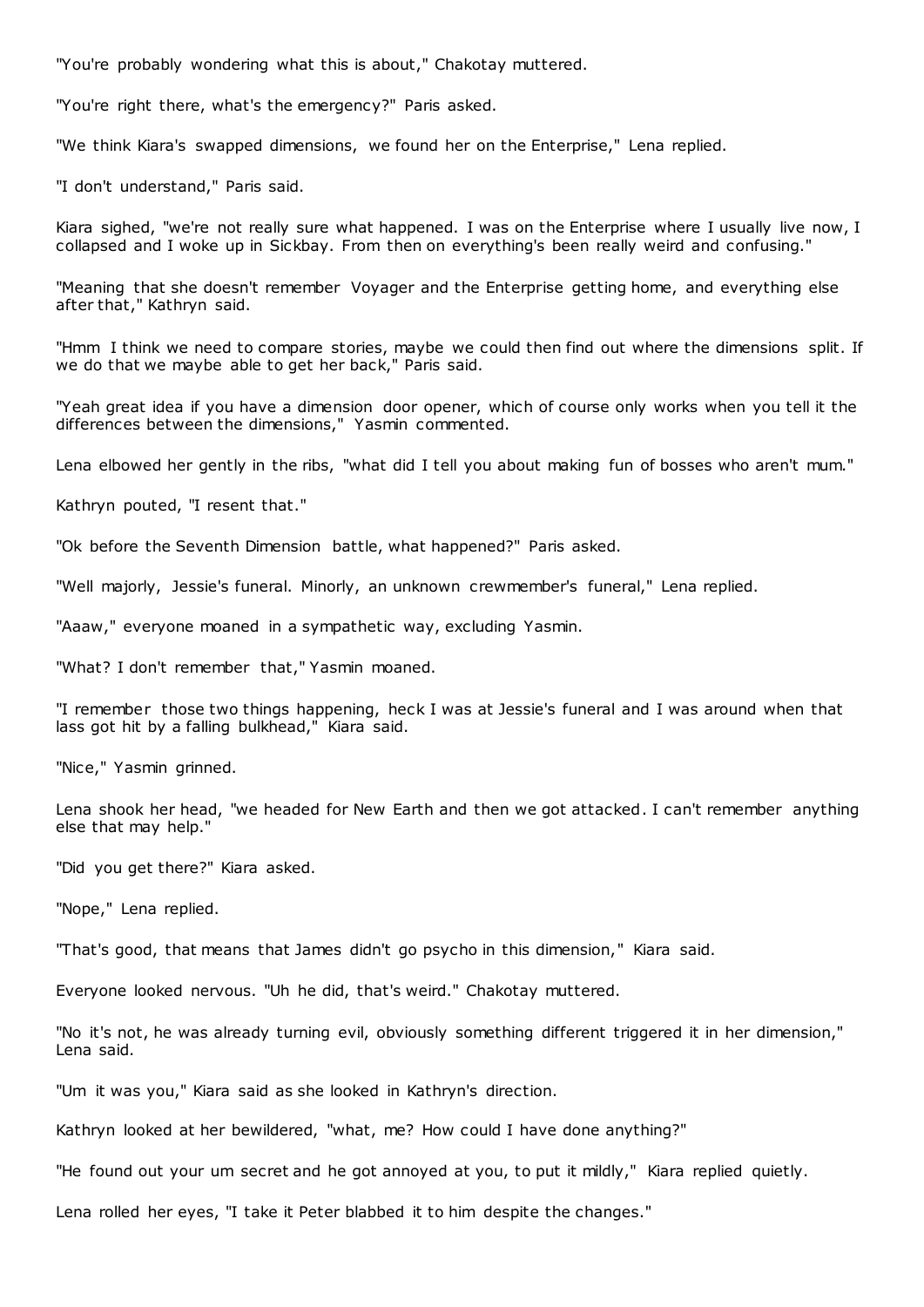"You're probably wondering what this is about," Chakotay muttered.

"You're right there, what's the emergency?" Paris asked.

"We think Kiara's swapped dimensions, we found her on the Enterprise," Lena replied.

"I don't understand," Paris said.

Kiara sighed, "we're not really sure what happened. I was on the Enterprise where I usually live now, I collapsed and I woke up in Sickbay. From then on everything's been really weird and confusing."

"Meaning that she doesn't remember Voyager and the Enterprise getting home, and everything else after that," Kathryn said.

"Hmm I think we need to compare stories, maybe we could then find out where the dimensions split. If we do that we maybe able to get her back," Paris said.

"Yeah great idea if you have a dimension door opener, which of course only works when you tell it the differences between the dimensions," Yasmin commented.

Lena elbowed her gently in the ribs, "what did I tell you about making fun of bosses who aren't mum."

Kathryn pouted, "I resent that."

"Ok before the Seventh Dimension battle, what happened?" Paris asked.

"Well majorly, Jessie's funeral. Minorly, an unknown crewmember's funeral," Lena replied.

"Aaaw," everyone moaned in a sympathetic way, excluding Yasmin.

"What? I don't remember that," Yasmin moaned.

"I remember those two things happening, heck I was at Jessie's funeral and I was around when that lass got hit by a falling bulkhead," Kiara said.

"Nice," Yasmin grinned.

Lena shook her head, "we headed for New Earth and then we got attacked. I can't remember anything else that may help."

"Did you get there?" Kiara asked.

"Nope," Lena replied.

"That's good, that means that James didn't go psycho in this dimension," Kiara said.

Everyone looked nervous. "Uh he did, that's weird." Chakotay muttered.

"No it's not, he was already turning evil, obviously something different triggered it in her dimension," Lena said.

"Um it was you," Kiara said as she looked in Kathryn's direction.

Kathryn looked at her bewildered, "what, me? How could I have done anything?"

"He found out your um secret and he got annoyed at you, to put it mildly," Kiara replied quietly.

Lena rolled her eyes, "I take it Peter blabbed it to him despite the changes."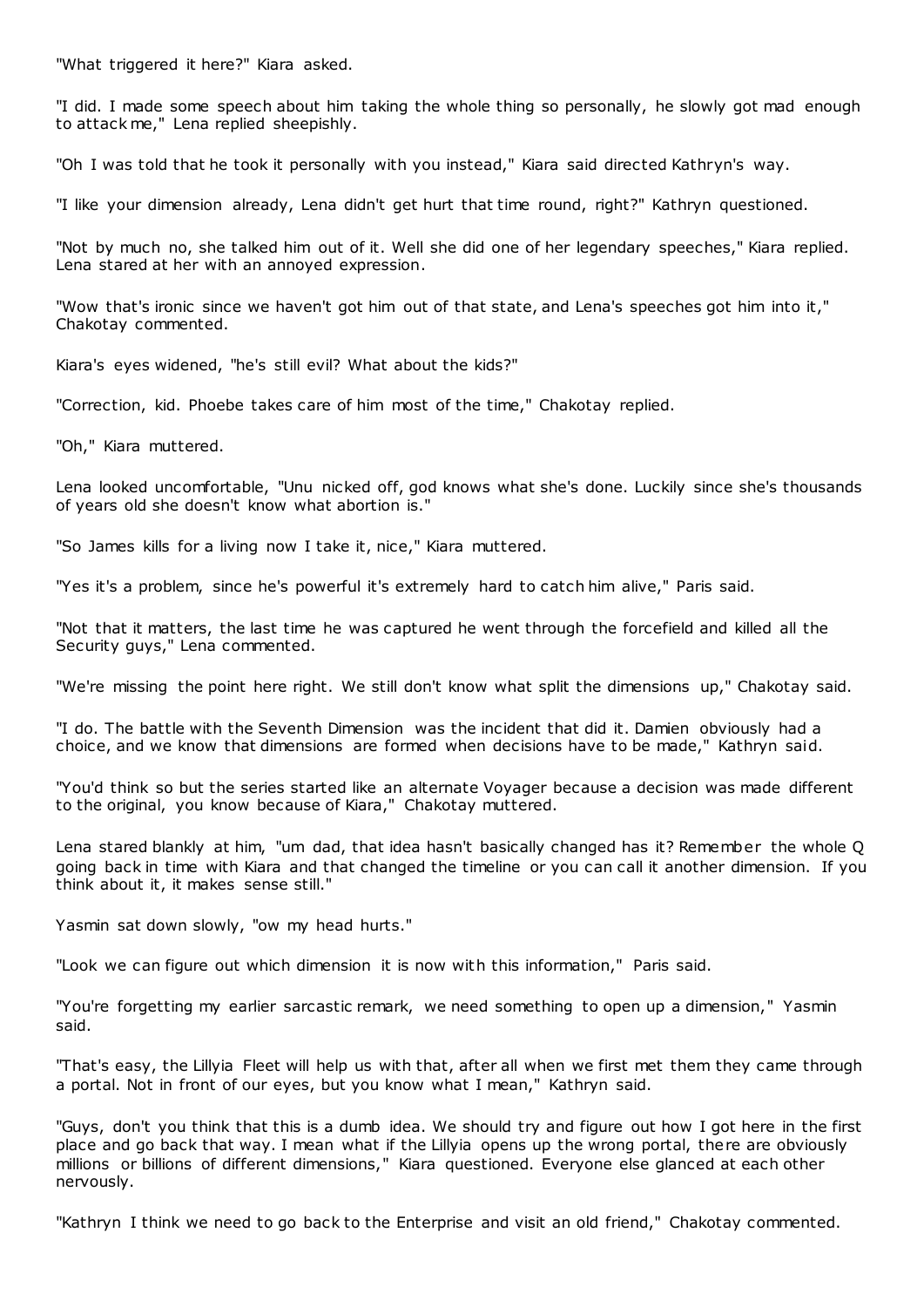"What triggered it here?" Kiara asked.

"I did. I made some speech about him taking the whole thing so personally, he slowly got mad enough to attack me," Lena replied sheepishly.

"Oh I was told that he took it personally with you instead," Kiara said directed Kathryn's way.

"I like your dimension already, Lena didn't get hurt that time round, right?" Kathryn questioned.

"Not by much no, she talked him out of it. Well she did one of her legendary speeches," Kiara replied. Lena stared at her with an annoyed expression.

"Wow that's ironic since we haven't got him out of that state, and Lena's speeches got him into it," Chakotay commented.

Kiara's eyes widened, "he's still evil? What about the kids?"

"Correction, kid. Phoebe takes care of him most of the time," Chakotay replied.

"Oh," Kiara muttered.

Lena looked uncomfortable, "Unu nicked off, god knows what she's done. Luckily since she's thousands of years old she doesn't know what abortion is."

"So James kills for a living now I take it, nice," Kiara muttered.

"Yes it's a problem, since he's powerful it's extremely hard to catch him alive," Paris said.

"Not that it matters, the last time he was captured he went through the forcefield and killed all the Security guys," Lena commented.

"We're missing the point here right. We still don't know what split the dimensions up," Chakotay said.

"I do. The battle with the Seventh Dimension was the incident that did it. Damien obviously had a choice, and we know that dimensions are formed when decisions have to be made," Kathryn said.

"You'd think so but the series started like an alternate Voyager because a decision was made different to the original, you know because of Kiara," Chakotay muttered.

Lena stared blankly at him, "um dad, that idea hasn't basically changed has it? Remember the whole Q going back in time with Kiara and that changed the timeline or you can call it another dimension. If you think about it, it makes sense still."

Yasmin sat down slowly, "ow my head hurts."

"Look we can figure out which dimension it is now with this information," Paris said.

"You're forgetting my earlier sarcastic remark, we need something to open up a dimension," Yasmin said.

"That's easy, the Lillyia Fleet will help us with that, after all when we first met them they came through a portal. Not in front of our eyes, but you know what I mean," Kathryn said.

"Guys, don't you think that this is a dumb idea. We should try and figure out how I got here in the first place and go back that way. I mean what if the Lillyia opens up the wrong portal, there are obviously millions or billions of different dimensions," Kiara questioned. Everyone else glanced at each other nervously.

"Kathryn I think we need to go back to the Enterprise and visit an old friend," Chakotay commented.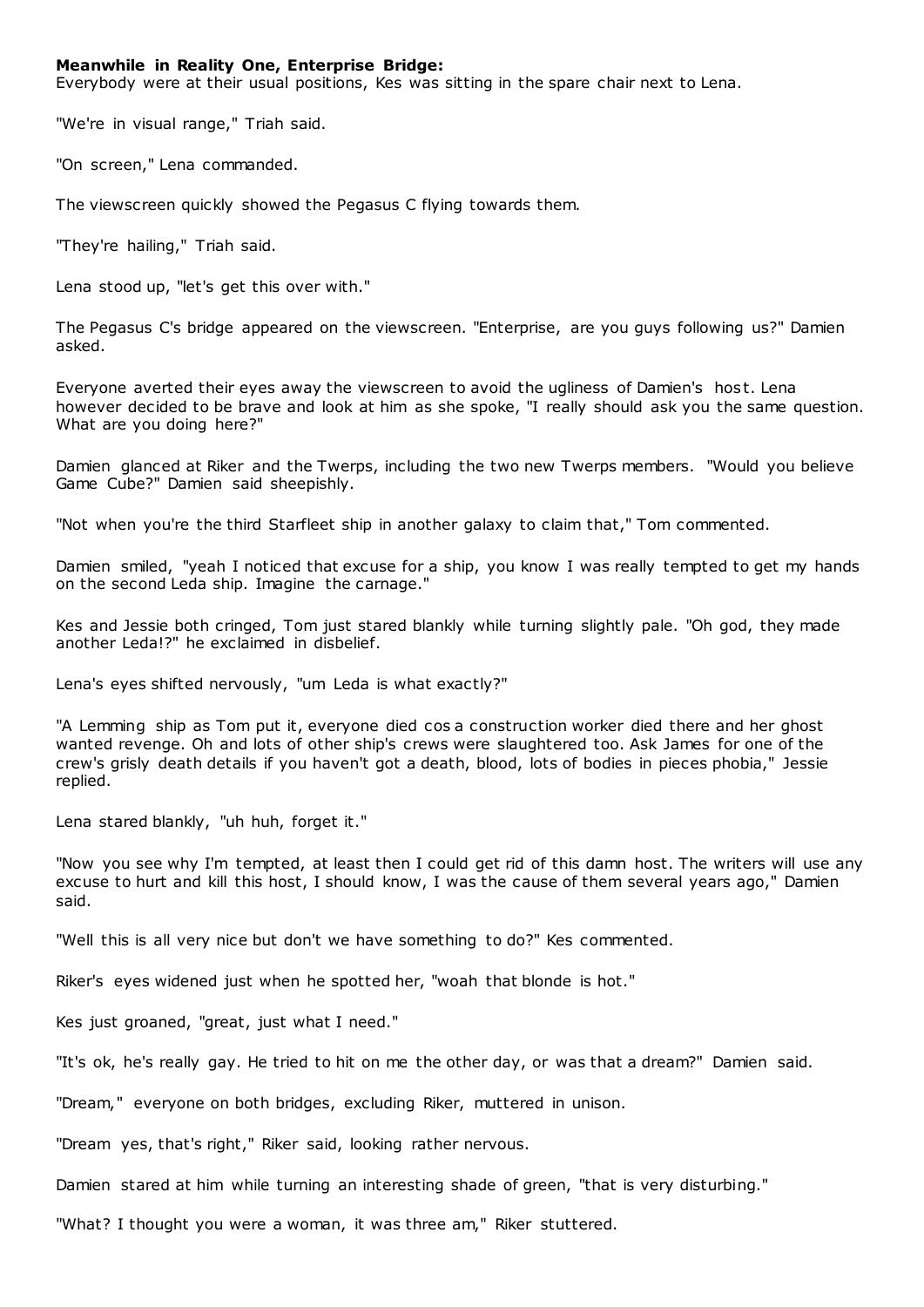## **Meanwhile in Reality One, Enterprise Bridge:**

Everybody were at their usual positions, Kes was sitting in the spare chair next to Lena.

"We're in visual range," Triah said.

"On screen," Lena commanded.

The viewscreen quickly showed the Pegasus C flying towards them.

"They're hailing," Triah said.

Lena stood up, "let's get this over with."

The Pegasus C's bridge appeared on the viewscreen. "Enterprise, are you guys following us?" Damien asked.

Everyone averted their eyes away the viewscreen to avoid the ugliness of Damien's host. Lena however decided to be brave and look at him as she spoke, "I really should ask you the same question. What are you doing here?"

Damien glanced at Riker and the Twerps, including the two new Twerps members. "Would you believe Game Cube?" Damien said sheepishly.

"Not when you're the third Starfleet ship in another galaxy to claim that," Tom commented.

Damien smiled, "yeah I noticed that excuse for a ship, you know I was really tempted to get my hands on the second Leda ship. Imagine the carnage."

Kes and Jessie both cringed, Tom just stared blankly while turning slightly pale. "Oh god, they made another Leda!?" he exclaimed in disbelief.

Lena's eyes shifted nervously, "um Leda is what exactly?"

"A Lemming ship as Tom put it, everyone died cos a construction worker died there and her ghost wanted revenge. Oh and lots of other ship's crews were slaughtered too. Ask James for one of the crew's grisly death details if you haven't got a death, blood, lots of bodies in pieces phobia," Jessie replied.

Lena stared blankly, "uh huh, forget it."

"Now you see why I'm tempted, at least then I could get rid of this damn host. The writers will use any excuse to hurt and kill this host, I should know, I was the cause of them several years ago," Damien said.

"Well this is all very nice but don't we have something to do?" Kes commented.

Riker's eyes widened just when he spotted her, "woah that blonde is hot."

Kes just groaned, "great, just what I need."

"It's ok, he's really gay. He tried to hit on me the other day, or was that a dream?" Damien said.

"Dream," everyone on both bridges, excluding Riker, muttered in unison.

"Dream yes, that's right," Riker said, looking rather nervous.

Damien stared at him while turning an interesting shade of green, "that is very disturbing."

"What? I thought you were a woman, it was three am," Riker stuttered.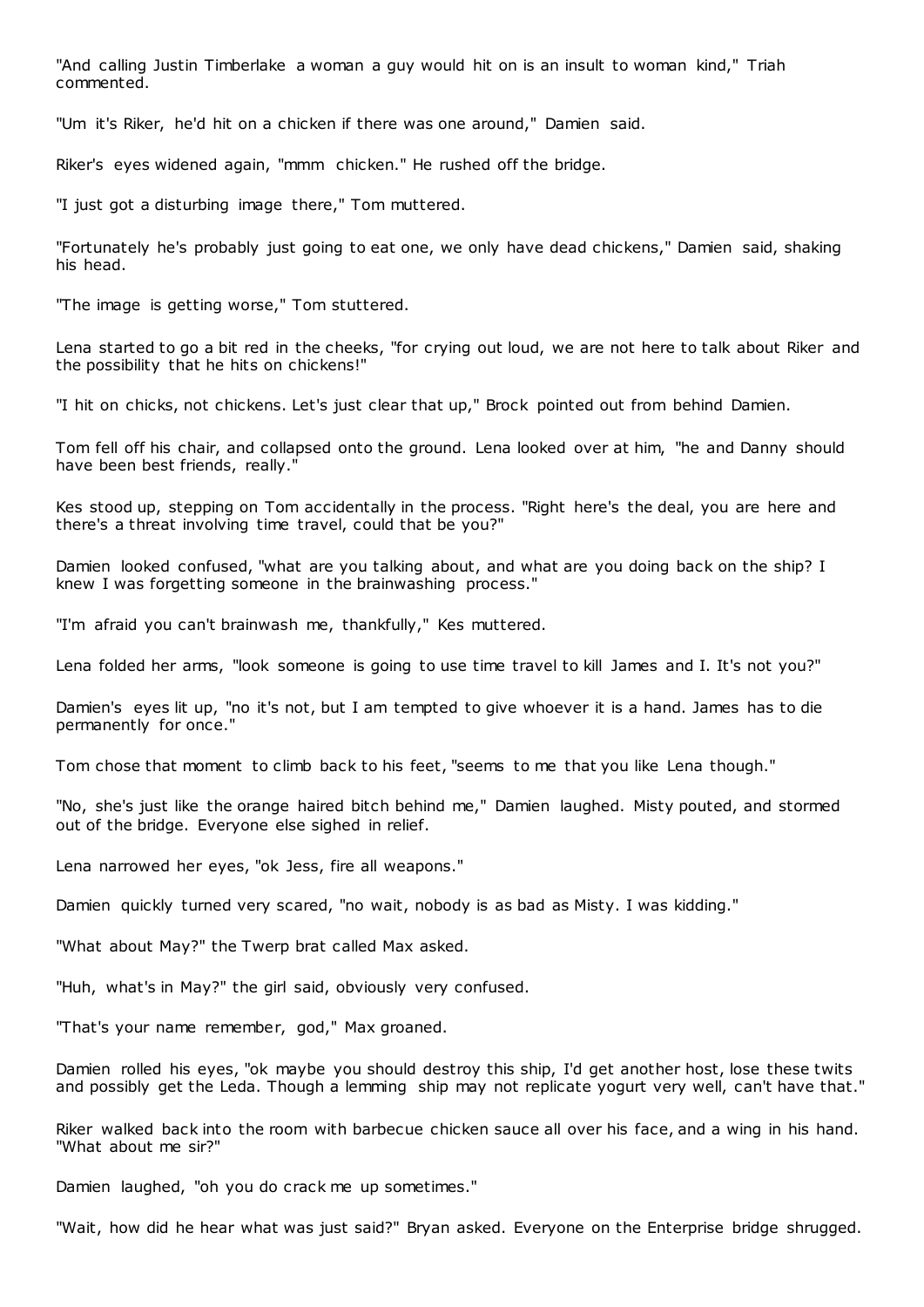"And calling Justin Timberlake a woman a guy would hit on is an insult to woman kind," Triah commented.

"Um it's Riker, he'd hit on a chicken if there was one around," Damien said.

Riker's eyes widened again, "mmm chicken." He rushed off the bridge.

"I just got a disturbing image there," Tom muttered.

"Fortunately he's probably just going to eat one, we only have dead chickens," Damien said, shaking his head.

"The image is getting worse," Tom stuttered.

Lena started to go a bit red in the cheeks, "for crying out loud, we are not here to talk about Riker and the possibility that he hits on chickens!"

"I hit on chicks, not chickens. Let's just clear that up," Brock pointed out from behind Damien.

Tom fell off his chair, and collapsed onto the ground. Lena looked over at him, "he and Danny should have been best friends, really."

Kes stood up, stepping on Tom accidentally in the process. "Right here's the deal, you are here and there's a threat involving time travel, could that be you?"

Damien looked confused, "what are you talking about, and what are you doing back on the ship? I knew I was forgetting someone in the brainwashing process."

"I'm afraid you can't brainwash me, thankfully," Kes muttered.

Lena folded her arms, "look someone is going to use time travel to kill James and I. It's not you?"

Damien's eyes lit up, "no it's not, but I am tempted to give whoever it is a hand. James has to die permanently for once."

Tom chose that moment to climb back to his feet, "seems to me that you like Lena though."

"No, she's just like the orange haired bitch behind me," Damien laughed. Misty pouted, and stormed out of the bridge. Everyone else sighed in relief.

Lena narrowed her eyes, "ok Jess, fire all weapons."

Damien quickly turned very scared, "no wait, nobody is as bad as Misty. I was kidding."

"What about May?" the Twerp brat called Max asked.

"Huh, what's in May?" the girl said, obviously very confused.

"That's your name remember, god," Max groaned.

Damien rolled his eyes, "ok maybe you should destroy this ship, I'd get another host, lose these twits and possibly get the Leda. Though a lemming ship may not replicate yogurt very well, can't have that."

Riker walked back into the room with barbecue chicken sauce all over his face, and a wing in his hand. "What about me sir?"

Damien laughed, "oh you do crack me up sometimes."

"Wait, how did he hear what was just said?" Bryan asked. Everyone on the Enterprise bridge shrugged.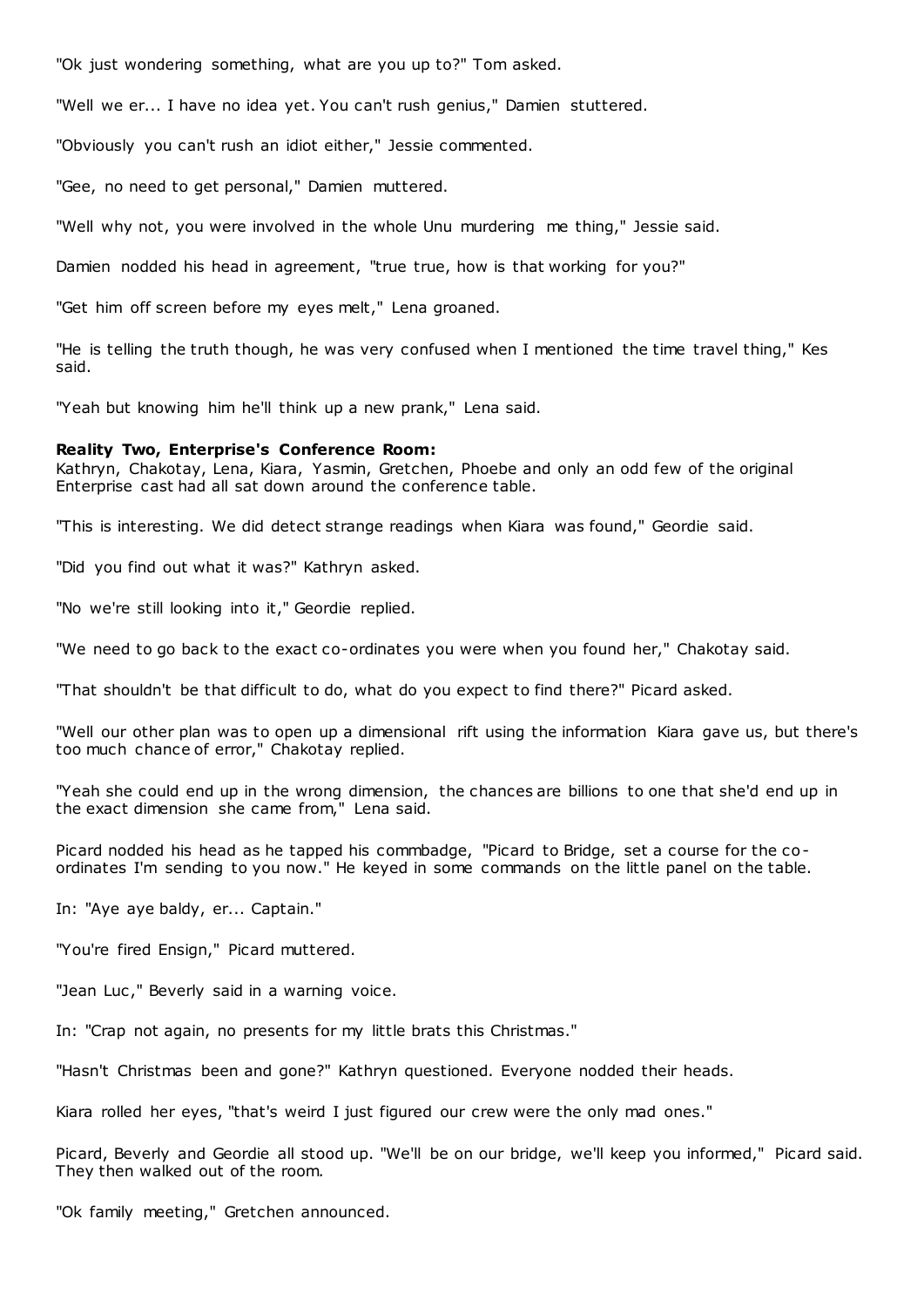"Ok just wondering something, what are you up to?" Tom asked.

"Well we er... I have no idea yet. You can't rush genius," Damien stuttered.

"Obviously you can't rush an idiot either," Jessie commented.

"Gee, no need to get personal," Damien muttered.

"Well why not, you were involved in the whole Unu murdering me thing," Jessie said.

Damien nodded his head in agreement, "true true, how is that working for you?"

"Get him off screen before my eyes melt," Lena groaned.

"He is telling the truth though, he was very confused when I mentioned the time travel thing," Kes said.

"Yeah but knowing him he'll think up a new prank," Lena said.

## **Reality Two, Enterprise's Conference Room:**

Kathryn, Chakotay, Lena, Kiara, Yasmin, Gretchen, Phoebe and only an odd few of the original Enterprise cast had all sat down around the conference table.

"This is interesting. We did detect strange readings when Kiara was found," Geordie said.

"Did you find out what it was?" Kathryn asked.

"No we're still looking into it," Geordie replied.

"We need to go back to the exact co-ordinates you were when you found her," Chakotay said.

"That shouldn't be that difficult to do, what do you expect to find there?" Picard asked.

"Well our other plan was to open up a dimensional rift using the information Kiara gave us, but there's too much chance of error," Chakotay replied.

"Yeah she could end up in the wrong dimension, the chances are billions to one that she'd end up in the exact dimension she came from," Lena said.

Picard nodded his head as he tapped his commbadge, "Picard to Bridge, set a course for the coordinates I'm sending to you now." He keyed in some commands on the little panel on the table.

In: "Aye aye baldy, er... Captain."

"You're fired Ensign," Picard muttered.

"Jean Luc," Beverly said in a warning voice.

In: "Crap not again, no presents for my little brats this Christmas."

"Hasn't Christmas been and gone?" Kathryn questioned. Everyone nodded their heads.

Kiara rolled her eyes, "that's weird I just figured our crew were the only mad ones."

Picard, Beverly and Geordie all stood up. "We'll be on our bridge, we'll keep you informed," Picard said. They then walked out of the room.

"Ok family meeting," Gretchen announced.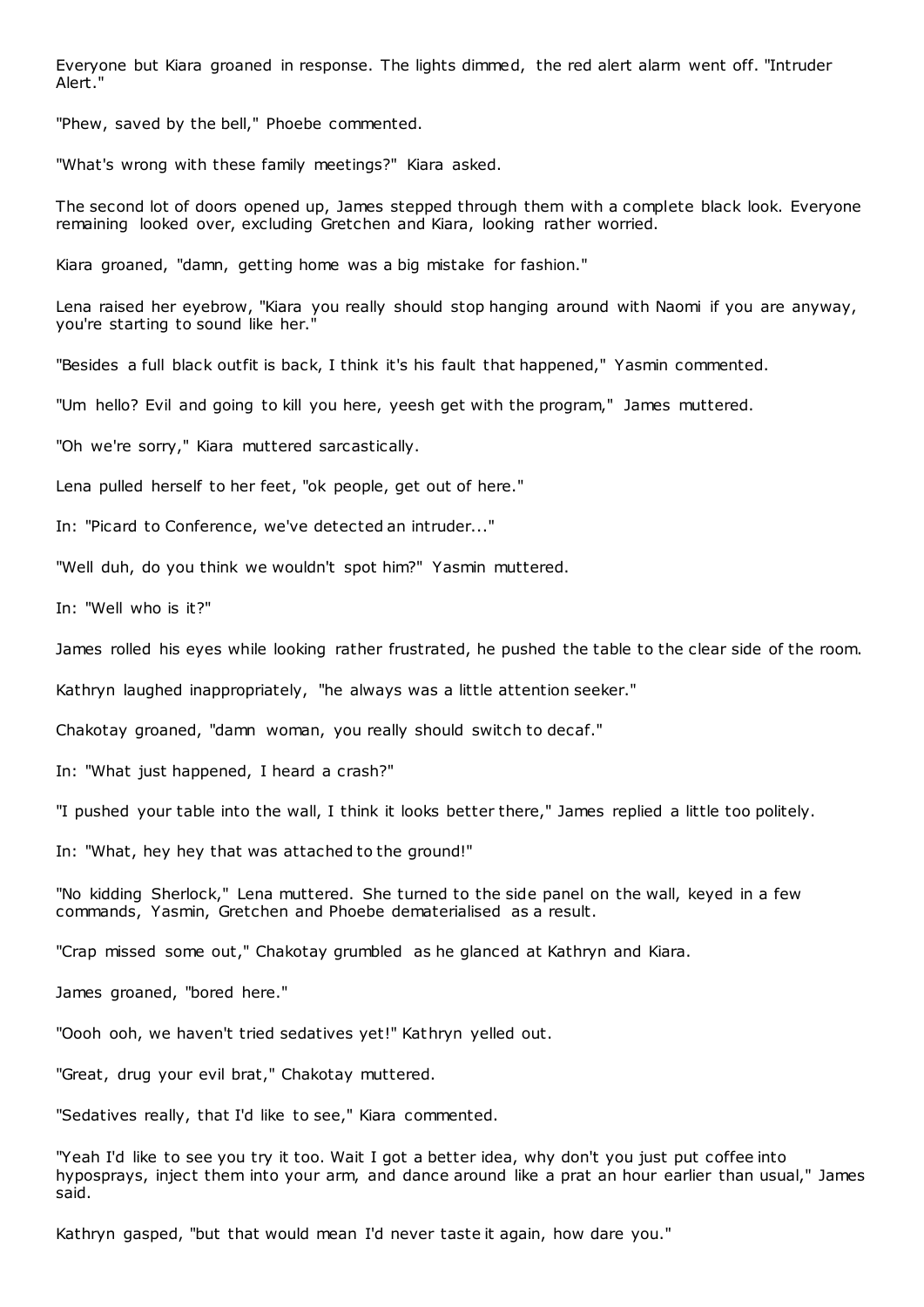Everyone but Kiara groaned in response. The lights dimmed, the red alert alarm went off. "Intruder Alert."

"Phew, saved by the bell," Phoebe commented.

"What's wrong with these family meetings?" Kiara asked.

The second lot of doors opened up, James stepped through them with a complete black look. Everyone remaining looked over, excluding Gretchen and Kiara, looking rather worried.

Kiara groaned, "damn, getting home was a big mistake for fashion."

Lena raised her eyebrow, "Kiara you really should stop hanging around with Naomi if you are anyway, you're starting to sound like her."

"Besides a full black outfit is back, I think it's his fault that happened," Yasmin commented.

"Um hello? Evil and going to kill you here, yeesh get with the program," James muttered.

"Oh we're sorry," Kiara muttered sarcastically.

Lena pulled herself to her feet, "ok people, get out of here."

In: "Picard to Conference, we've detected an intruder..."

"Well duh, do you think we wouldn't spot him?" Yasmin muttered.

In: "Well who is it?"

James rolled his eyes while looking rather frustrated, he pushed the table to the clear side of the room.

Kathryn laughed inappropriately, "he always was a little attention seeker."

Chakotay groaned, "damn woman, you really should switch to decaf."

In: "What just happened, I heard a crash?"

"I pushed your table into the wall, I think it looks better there," James replied a little too politely.

In: "What, hey hey that was attached to the ground!"

"No kidding Sherlock," Lena muttered. She turned to the side panel on the wall, keyed in a few commands, Yasmin, Gretchen and Phoebe dematerialised as a result.

"Crap missed some out," Chakotay grumbled as he glanced at Kathryn and Kiara.

James groaned, "bored here."

"Oooh ooh, we haven't tried sedatives yet!" Kathryn yelled out.

"Great, drug your evil brat," Chakotay muttered.

"Sedatives really, that I'd like to see," Kiara commented.

"Yeah I'd like to see you try it too. Wait I got a better idea, why don't you just put coffee into hyposprays, inject them into your arm, and dance around like a prat an hour earlier than usual," James said.

Kathryn gasped, "but that would mean I'd never taste it again, how dare you."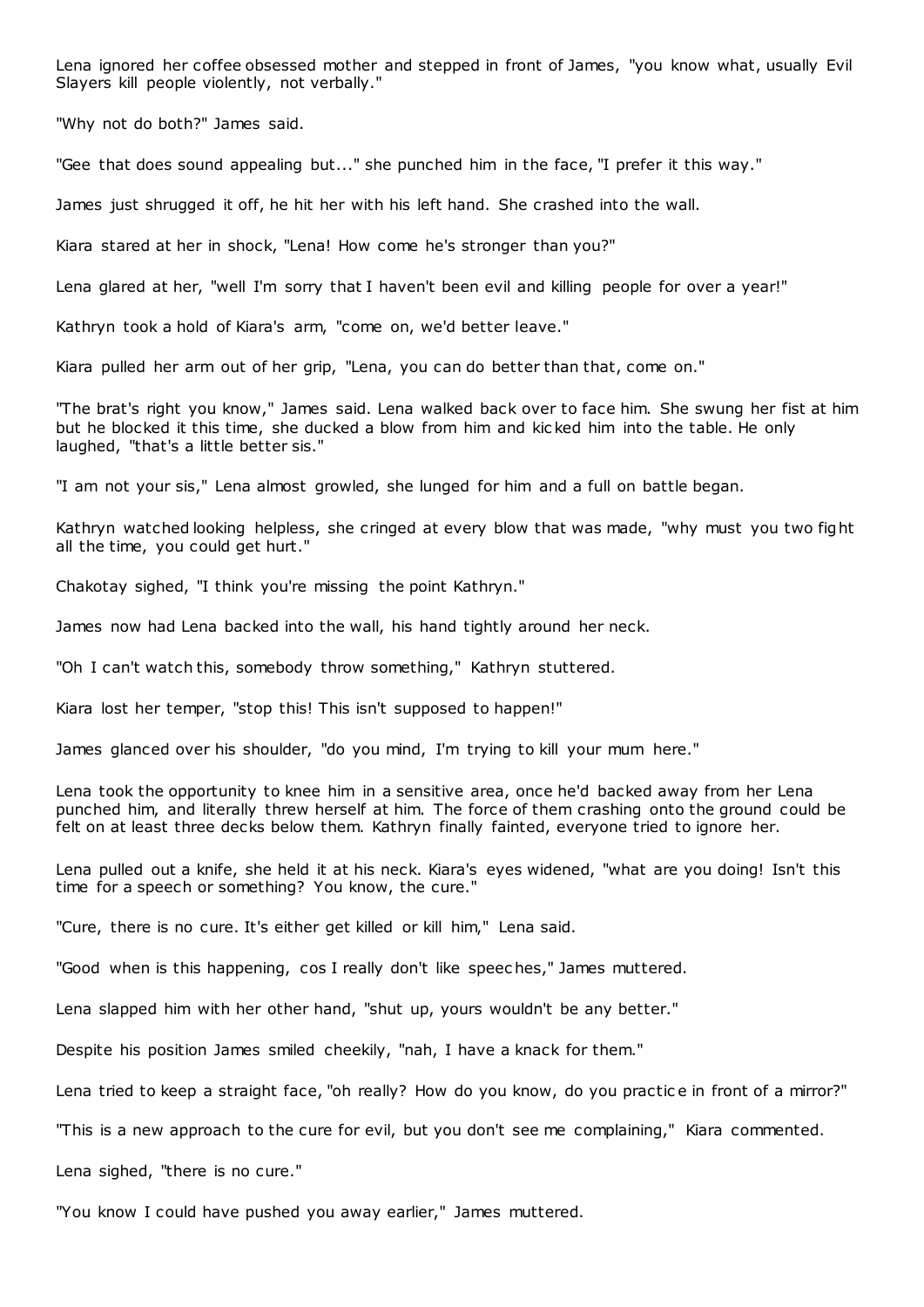Lena ignored her coffee obsessed mother and stepped in front of James, "you know what, usually Evil Slayers kill people violently, not verbally."

"Why not do both?" James said.

"Gee that does sound appealing but..." she punched him in the face, "I prefer it this way."

James just shrugged it off, he hit her with his left hand. She crashed into the wall.

Kiara stared at her in shock, "Lena! How come he's stronger than you?"

Lena glared at her, "well I'm sorry that I haven't been evil and killing people for over a year!"

Kathryn took a hold of Kiara's arm, "come on, we'd better leave."

Kiara pulled her arm out of her grip, "Lena, you can do better than that, come on."

"The brat's right you know," James said. Lena walked back over to face him. She swung her fist at him but he blocked it this time, she ducked a blow from him and kic ked him into the table. He only laughed, "that's a little better sis."

"I am not your sis," Lena almost growled, she lunged for him and a full on battle began.

Kathryn watched looking helpless, she cringed at every blow that was made, "why must you two fight all the time, you could get hurt."

Chakotay sighed, "I think you're missing the point Kathryn."

James now had Lena backed into the wall, his hand tightly around her neck.

"Oh I can't watch this, somebody throw something," Kathryn stuttered.

Kiara lost her temper, "stop this! This isn't supposed to happen!"

James glanced over his shoulder, "do you mind, I'm trying to kill your mum here."

Lena took the opportunity to knee him in a sensitive area, once he'd backed away from her Lena punched him, and literally threw herself at him. The force of them crashing onto the ground could be felt on at least three decks below them. Kathryn finally fainted, everyone tried to ignore her.

Lena pulled out a knife, she held it at his neck. Kiara's eyes widened, "what are you doing! Isn't this time for a speech or something? You know, the cure."

"Cure, there is no cure. It's either get killed or kill him," Lena said.

"Good when is this happening, cos I really don't like speec hes," James muttered.

Lena slapped him with her other hand, "shut up, yours wouldn't be any better."

Despite his position James smiled cheekily, "nah, I have a knack for them."

Lena tried to keep a straight face, "oh really? How do you know, do you practic e in front of a mirror?"

"This is a new approach to the cure for evil, but you don't see me complaining," Kiara commented.

Lena sighed, "there is no cure."

"You know I could have pushed you away earlier," James muttered.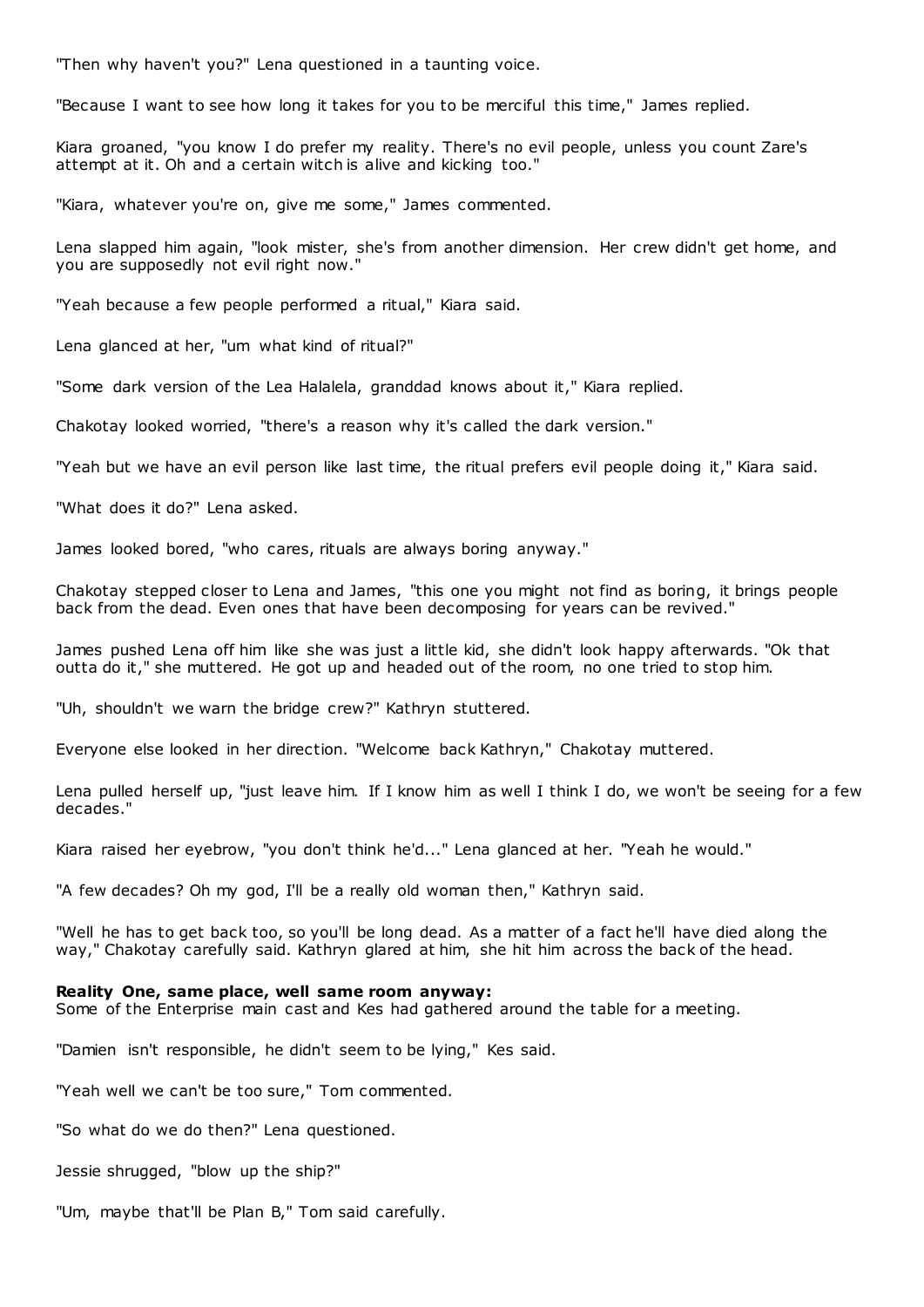"Then why haven't you?" Lena questioned in a taunting voice.

"Because I want to see how long it takes for you to be merciful this time," James replied.

Kiara groaned, "you know I do prefer my reality. There's no evil people, unless you count Zare's attempt at it. Oh and a certain witch is alive and kicking too."

"Kiara, whatever you're on, give me some," James commented.

Lena slapped him again, "look mister, she's from another dimension. Her crew didn't get home, and you are supposedly not evil right now."

"Yeah because a few people performed a ritual," Kiara said.

Lena glanced at her, "um what kind of ritual?"

"Some dark version of the Lea Halalela, granddad knows about it," Kiara replied.

Chakotay looked worried, "there's a reason why it's called the dark version."

"Yeah but we have an evil person like last time, the ritual prefers evil people doing it," Kiara said.

"What does it do?" Lena asked.

James looked bored, "who cares, rituals are always boring anyway."

Chakotay stepped closer to Lena and James, "this one you might not find as boring, it brings people back from the dead. Even ones that have been decomposing for years can be revived."

James pushed Lena off him like she was just a little kid, she didn't look happy afterwards. "Ok that outta do it," she muttered. He got up and headed out of the room, no one tried to stop him.

"Uh, shouldn't we warn the bridge crew?" Kathryn stuttered.

Everyone else looked in her direction. "Welcome back Kathryn," Chakotay muttered.

Lena pulled herself up, "just leave him. If I know him as well I think I do, we won't be seeing for a few decades."

Kiara raised her eyebrow, "you don't think he'd..." Lena glanced at her. "Yeah he would."

"A few decades? Oh my god, I'll be a really old woman then," Kathryn said.

"Well he has to get back too, so you'll be long dead. As a matter of a fact he'll have died along the way," Chakotay carefully said. Kathryn glared at him, she hit him across the back of the head.

## **Reality One, same place, well same room anyway:**

Some of the Enterprise main cast and Kes had gathered around the table for a meeting.

"Damien isn't responsible, he didn't seem to be lying," Kes said.

"Yeah well we can't be too sure," Tom commented.

"So what do we do then?" Lena questioned.

Jessie shrugged, "blow up the ship?"

"Um, maybe that'll be Plan B," Tom said carefully.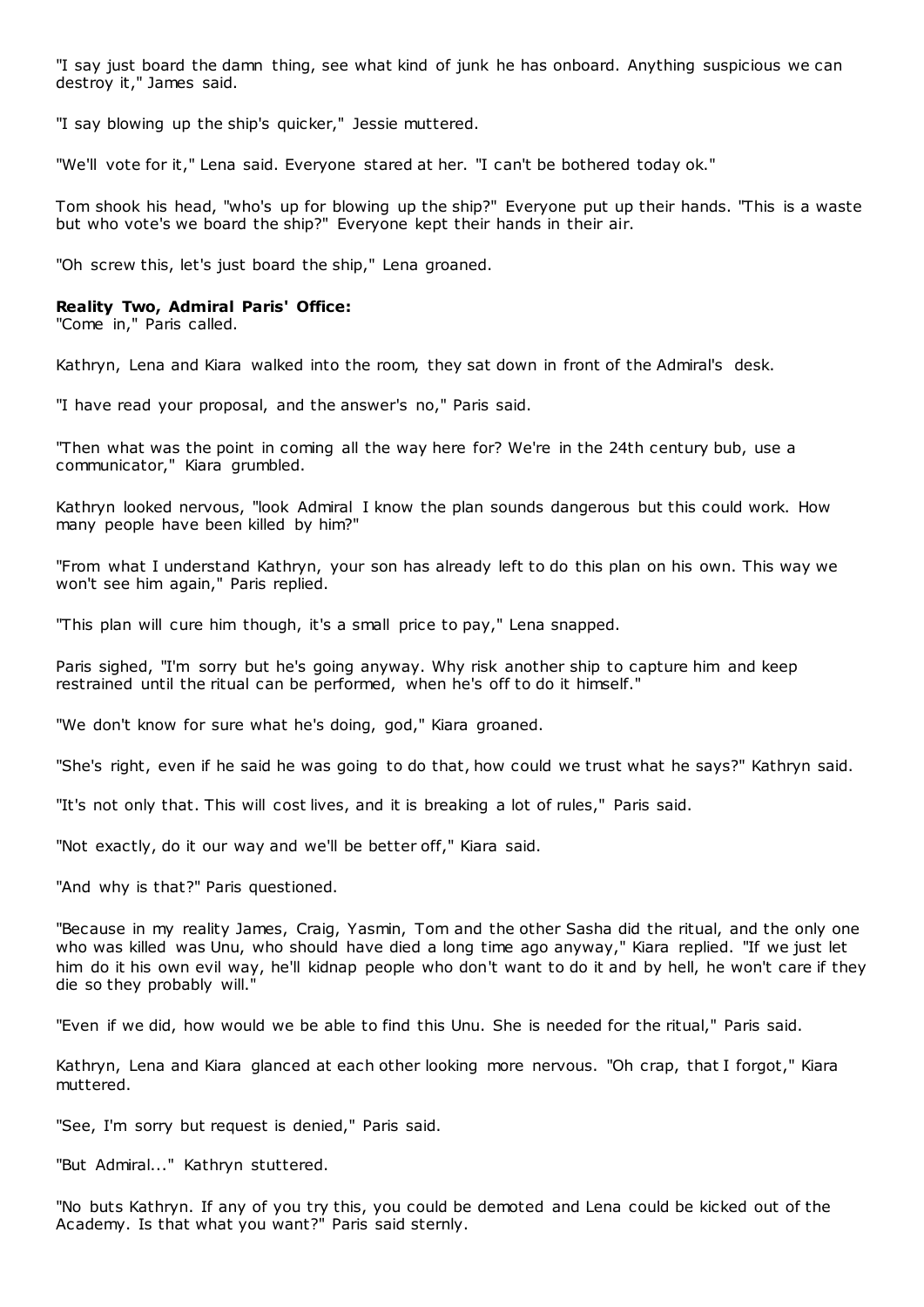"I say just board the damn thing, see what kind of junk he has onboard. Anything suspicious we can destroy it," James said.

"I say blowing up the ship's quicker," Jessie muttered.

"We'll vote for it," Lena said. Everyone stared at her. "I can't be bothered today ok."

Tom shook his head, "who's up for blowing up the ship?" Everyone put up their hands. "This is a waste but who vote's we board the ship?" Everyone kept their hands in their air.

"Oh screw this, let's just board the ship," Lena groaned.

## **Reality Two, Admiral Paris' Office:**

"Come in," Paris called.

Kathryn, Lena and Kiara walked into the room, they sat down in front of the Admiral's desk.

"I have read your proposal, and the answer's no," Paris said.

"Then what was the point in coming all the way here for? We're in the 24th century bub, use a communicator," Kiara grumbled.

Kathryn looked nervous, "look Admiral I know the plan sounds dangerous but this could work. How many people have been killed by him?"

"From what I understand Kathryn, your son has already left to do this plan on his own. This way we won't see him again," Paris replied.

"This plan will cure him though, it's a small price to pay," Lena snapped.

Paris sighed, "I'm sorry but he's going anyway. Why risk another ship to capture him and keep restrained until the ritual can be performed, when he's off to do it himself."

"We don't know for sure what he's doing, god," Kiara groaned.

"She's right, even if he said he was going to do that, how could we trust what he says?" Kathryn said.

"It's not only that. This will cost lives, and it is breaking a lot of rules," Paris said.

"Not exactly, do it our way and we'll be better off," Kiara said.

"And why is that?" Paris questioned.

"Because in my reality James, Craig, Yasmin, Tom and the other Sasha did the ritual, and the only one who was killed was Unu, who should have died a long time ago anyway," Kiara replied. "If we just let him do it his own evil way, he'll kidnap people who don't want to do it and by hell, he won't care if they die so they probably will."

"Even if we did, how would we be able to find this Unu. She is needed for the ritual," Paris said.

Kathryn, Lena and Kiara glanced at each other looking more nervous. "Oh crap, that I forgot," Kiara muttered.

"See, I'm sorry but request is denied," Paris said.

"But Admiral..." Kathryn stuttered.

"No buts Kathryn. If any of you try this, you could be demoted and Lena could be kicked out of the Academy. Is that what you want?" Paris said sternly.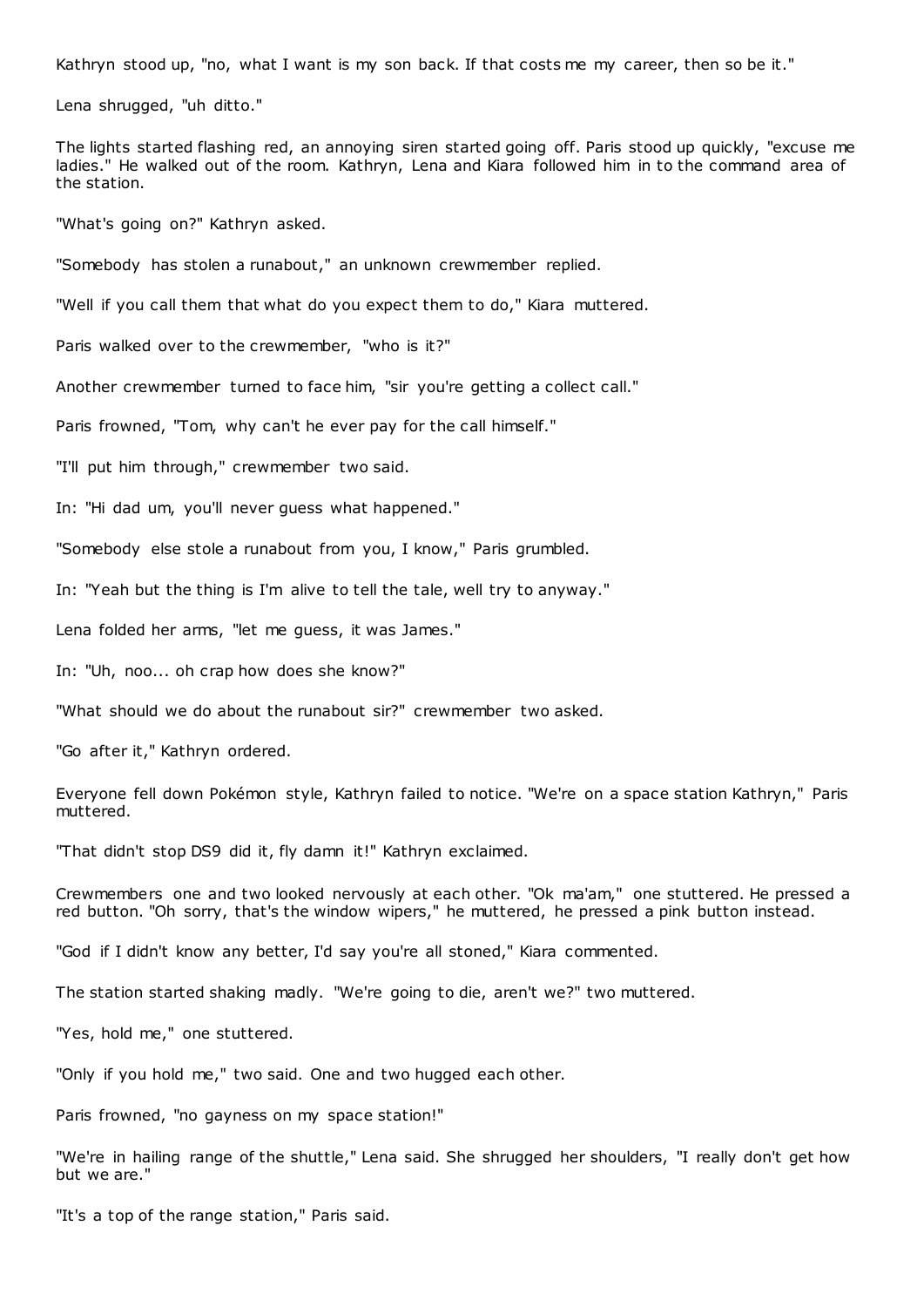Kathryn stood up, "no, what I want is my son back. If that costs me my career, then so be it."

Lena shrugged, "uh ditto."

The lights started flashing red, an annoying siren started going off. Paris stood up quickly, "excuse me ladies." He walked out of the room. Kathryn, Lena and Kiara followed him in to the command area of the station.

"What's going on?" Kathryn asked.

"Somebody has stolen a runabout," an unknown crewmember replied.

"Well if you call them that what do you expect them to do," Kiara muttered.

Paris walked over to the crewmember, "who is it?"

Another crewmember turned to face him, "sir you're getting a collect call."

Paris frowned, "Tom, why can't he ever pay for the call himself."

"I'll put him through," crewmember two said.

In: "Hi dad um, you'll never guess what happened."

"Somebody else stole a runabout from you, I know," Paris grumbled.

In: "Yeah but the thing is I'm alive to tell the tale, well try to anyway."

Lena folded her arms, "let me guess, it was James."

In: "Uh, noo... oh crap how does she know?"

"What should we do about the runabout sir?" crewmember two asked.

"Go after it," Kathryn ordered.

Everyone fell down Pokémon style, Kathryn failed to notice. "We're on a space station Kathryn," Paris muttered.

"That didn't stop DS9 did it, fly damn it!" Kathryn exclaimed.

Crewmembers one and two looked nervously at each other. "Ok ma'am," one stuttered. He pressed a red button. "Oh sorry, that's the window wipers," he muttered, he pressed a pink button instead.

"God if I didn't know any better, I'd say you're all stoned," Kiara commented.

The station started shaking madly. "We're going to die, aren't we?" two muttered.

"Yes, hold me," one stuttered.

"Only if you hold me," two said. One and two hugged each other.

Paris frowned, "no gayness on my space station!"

"We're in hailing range of the shuttle," Lena said. She shrugged her shoulders, "I really don't get how but we are."

"It's a top of the range station," Paris said.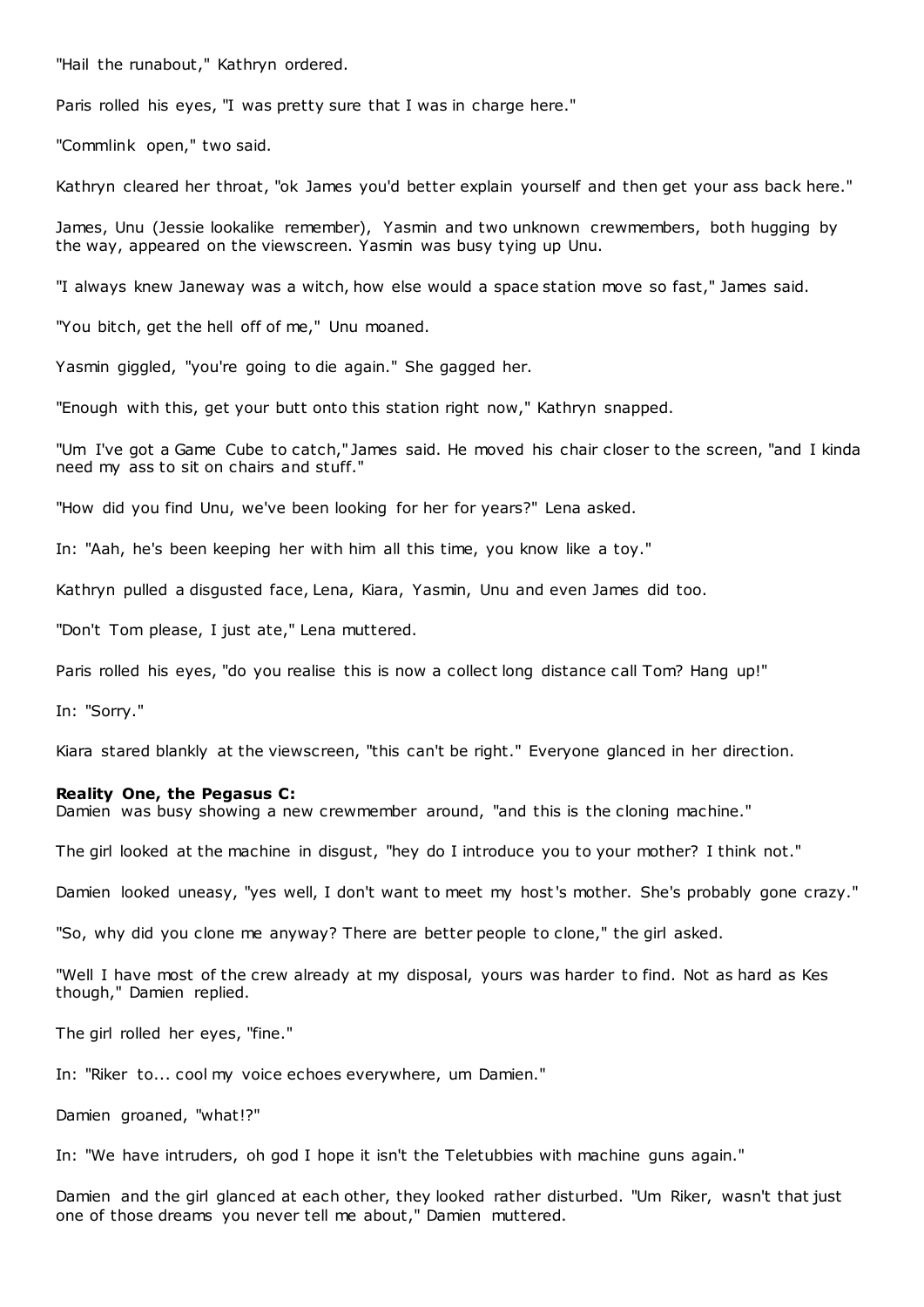"Hail the runabout," Kathryn ordered.

Paris rolled his eyes, "I was pretty sure that I was in charge here."

"Commlink open," two said.

Kathryn cleared her throat, "ok James you'd better explain yourself and then get your ass back here."

James, Unu (Jessie lookalike remember), Yasmin and two unknown crewmembers, both hugging by the way, appeared on the viewscreen. Yasmin was busy tying up Unu.

"I always knew Janeway was a witch, how else would a space station move so fast," James said.

"You bitch, get the hell off of me," Unu moaned.

Yasmin giggled, "you're going to die again." She gagged her.

"Enough with this, get your butt onto this station right now," Kathryn snapped.

"Um I've got a Game Cube to catch," James said. He moved his chair closer to the screen, "and I kinda need my ass to sit on chairs and stuff."

"How did you find Unu, we've been looking for her for years?" Lena asked.

In: "Aah, he's been keeping her with him all this time, you know like a toy."

Kathryn pulled a disgusted face, Lena, Kiara, Yasmin, Unu and even James did too.

"Don't Tom please, I just ate," Lena muttered.

Paris rolled his eyes, "do you realise this is now a collect long distance call Tom? Hang up!"

In: "Sorry."

Kiara stared blankly at the viewscreen, "this can't be right." Everyone glanced in her direction.

# **Reality One, the Pegasus C:**

Damien was busy showing a new crewmember around, "and this is the cloning machine."

The girl looked at the machine in disgust, "hey do I introduce you to your mother? I think not."

Damien looked uneasy, "yes well, I don't want to meet my host's mother. She's probably gone crazy."

"So, why did you clone me anyway? There are better people to clone," the girl asked.

"Well I have most of the crew already at my disposal, yours was harder to find. Not as hard as Kes though," Damien replied.

The girl rolled her eyes, "fine."

In: "Riker to... cool my voice echoes everywhere, um Damien."

Damien groaned, "what!?"

In: "We have intruders, oh god I hope it isn't the Teletubbies with machine guns again."

Damien and the girl glanced at each other, they looked rather disturbed. "Um Riker, wasn't that just one of those dreams you never tell me about," Damien muttered.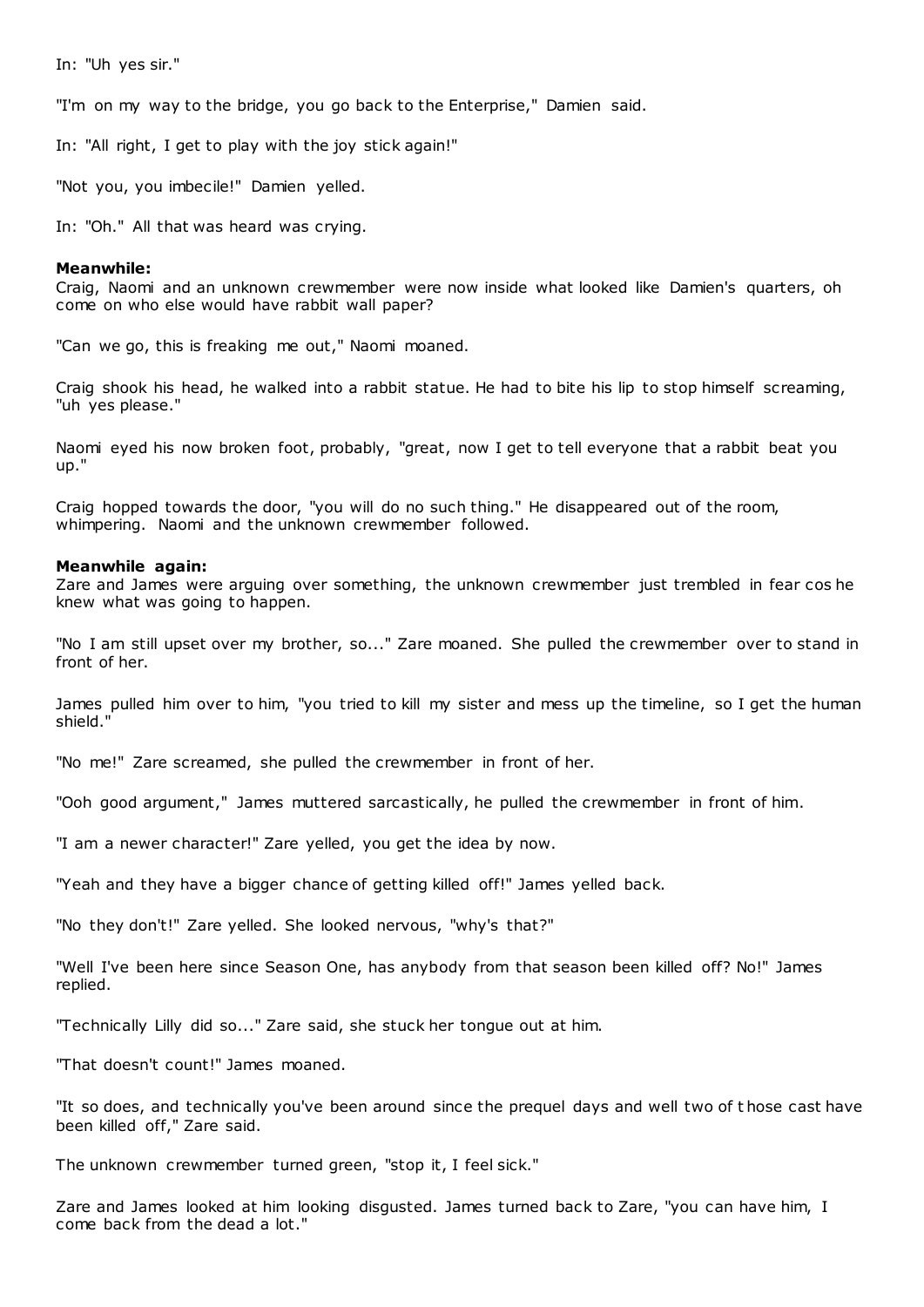In: "Uh yes sir."

"I'm on my way to the bridge, you go back to the Enterprise," Damien said.

In: "All right, I get to play with the joy stick again!"

"Not you, you imbecile!" Damien yelled.

In: "Oh." All that was heard was crying.

## **Meanwhile:**

Craig, Naomi and an unknown crewmember were now inside what looked like Damien's quarters, oh come on who else would have rabbit wall paper?

"Can we go, this is freaking me out," Naomi moaned.

Craig shook his head, he walked into a rabbit statue. He had to bite his lip to stop himself screaming, "uh yes please."

Naomi eyed his now broken foot, probably, "great, now I get to tell everyone that a rabbit beat you up."

Craig hopped towards the door, "you will do no such thing." He disappeared out of the room, whimpering. Naomi and the unknown crewmember followed.

## **Meanwhile again:**

Zare and James were arguing over something, the unknown crewmember just trembled in fear cos he knew what was going to happen.

"No I am still upset over my brother, so..." Zare moaned. She pulled the crewmember over to stand in front of her.

James pulled him over to him, "you tried to kill my sister and mess up the timeline, so I get the human shield."

"No me!" Zare screamed, she pulled the crewmember in front of her.

"Ooh good argument," James muttered sarcastically, he pulled the crewmember in front of him.

"I am a newer character!" Zare yelled, you get the idea by now.

"Yeah and they have a bigger chance of getting killed off!" James yelled back.

"No they don't!" Zare yelled. She looked nervous, "why's that?"

"Well I've been here since Season One, has anybody from that season been killed off? No!" James replied.

"Technically Lilly did so..." Zare said, she stuck her tongue out at him.

"That doesn't count!" James moaned.

"It so does, and technically you've been around since the prequel days and well two of t hose cast have been killed off," Zare said.

The unknown crewmember turned green, "stop it, I feel sick."

Zare and James looked at him looking disgusted. James turned back to Zare, "you can have him, I come back from the dead a lot."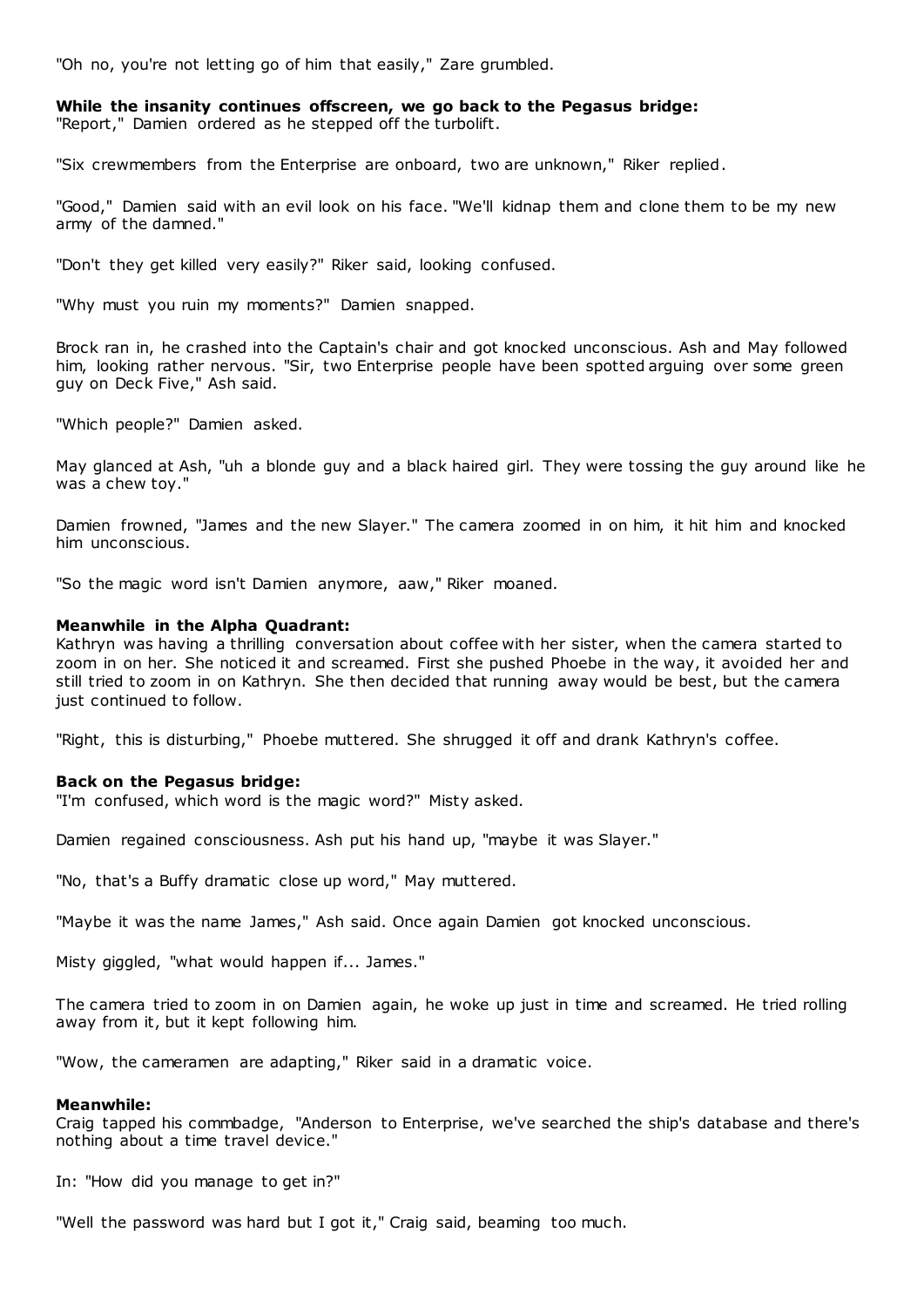"Oh no, you're not letting go of him that easily," Zare grumbled.

## **While the insanity continues offscreen, we go back to the Pegasus bridge:** "Report," Damien ordered as he stepped off the turbolift.

"Six crewmembers from the Enterprise are onboard, two are unknown," Riker replied.

"Good," Damien said with an evil look on his face. "We'll kidnap them and clone them to be my new army of the damned."

"Don't they get killed very easily?" Riker said, looking confused.

"Why must you ruin my moments?" Damien snapped.

Brock ran in, he crashed into the Captain's chair and got knocked unconscious. Ash and May followed him, looking rather nervous. "Sir, two Enterprise people have been spotted arguing over some green guy on Deck Five," Ash said.

"Which people?" Damien asked.

May glanced at Ash, "uh a blonde guy and a black haired girl. They were tossing the guy around like he was a chew toy."

Damien frowned, "James and the new Slayer." The camera zoomed in on him, it hit him and knocked him unconscious.

"So the magic word isn't Damien anymore, aaw," Riker moaned.

## **Meanwhile in the Alpha Quadrant:**

Kathryn was having a thrilling conversation about coffee with her sister, when the camera started to zoom in on her. She noticed it and screamed. First she pushed Phoebe in the way, it avoided her and still tried to zoom in on Kathryn. She then decided that running away would be best, but the camera just continued to follow.

"Right, this is disturbing," Phoebe muttered. She shrugged it off and drank Kathryn's coffee.

## **Back on the Pegasus bridge:**

"I'm confused, which word is the magic word?" Misty asked.

Damien regained consciousness. Ash put his hand up, "maybe it was Slayer."

"No, that's a Buffy dramatic close up word," May muttered.

"Maybe it was the name James," Ash said. Once again Damien got knocked unconscious.

Misty giggled, "what would happen if... James."

The camera tried to zoom in on Damien again, he woke up just in time and screamed. He tried rolling away from it, but it kept following him.

"Wow, the cameramen are adapting," Riker said in a dramatic voice.

#### **Meanwhile:**

Craig tapped his commbadge, "Anderson to Enterprise, we've searched the ship's database and there's nothing about a time travel device."

In: "How did you manage to get in?"

"Well the password was hard but I got it," Craig said, beaming too much.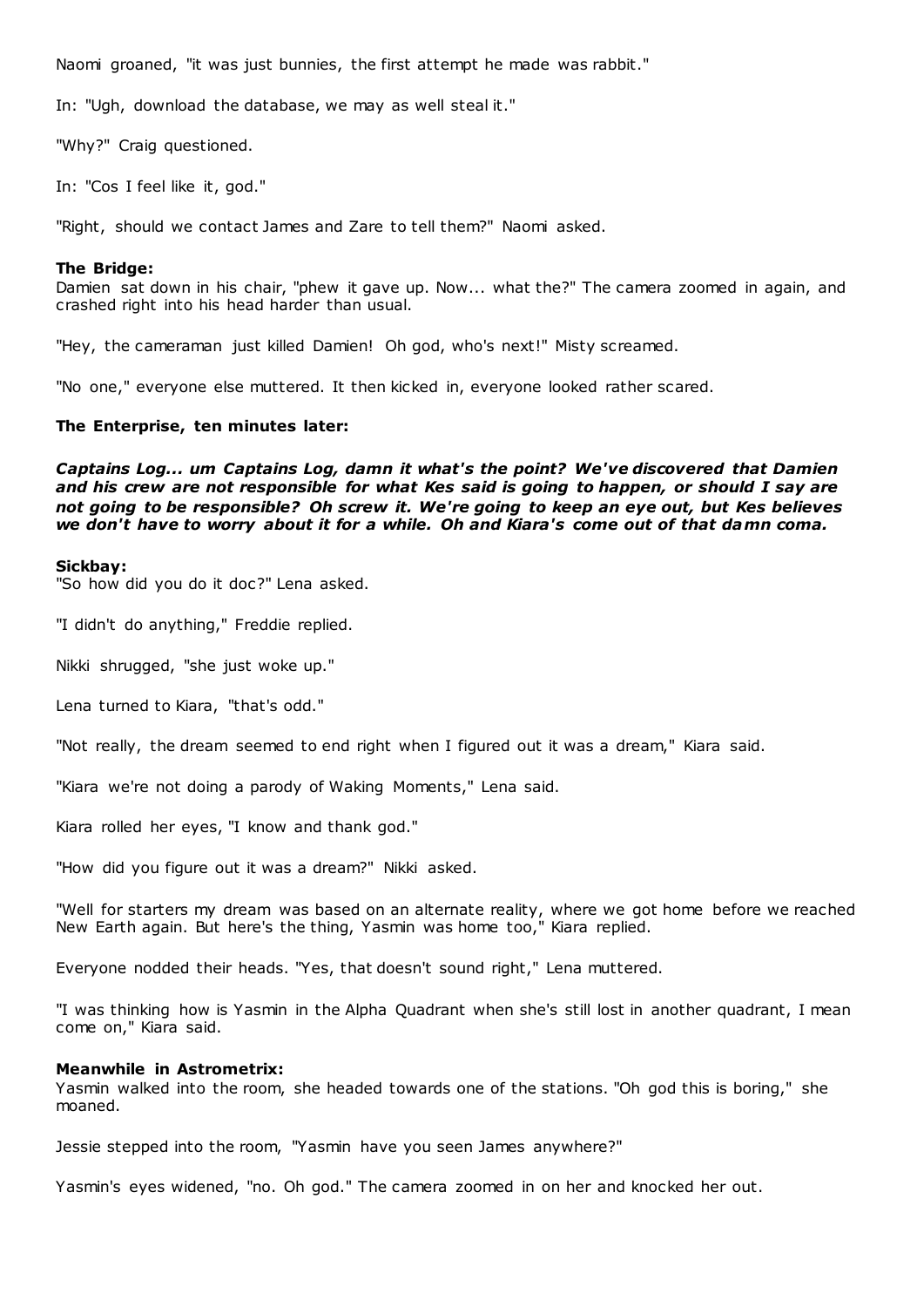Naomi groaned, "it was just bunnies, the first attempt he made was rabbit."

In: "Ugh, download the database, we may as well steal it."

"Why?" Craig questioned.

In: "Cos I feel like it, god."

"Right, should we contact James and Zare to tell them?" Naomi asked.

## **The Bridge:**

Damien sat down in his chair, "phew it gave up. Now... what the?" The camera zoomed in again, and crashed right into his head harder than usual.

"Hey, the cameraman just killed Damien! Oh god, who's next!" Misty screamed.

"No one," everyone else muttered. It then kicked in, everyone looked rather scared.

## **The Enterprise, ten minutes later:**

*Captains Log... um Captains Log, damn it what's the point? We've discovered that Damien and his crew are not responsible for what Kes said is going to happen, or should I say are not going to be responsible? Oh screw it. We're going to keep an eye out, but Kes believes we don't have to worry about it for a while. Oh and Kiara's come out of that damn coma.*

## **Sickbay:**

"So how did you do it doc?" Lena asked.

"I didn't do anything," Freddie replied.

Nikki shrugged, "she just woke up."

Lena turned to Kiara, "that's odd."

"Not really, the dream seemed to end right when I figured out it was a dream," Kiara said.

"Kiara we're not doing a parody of Waking Moments," Lena said.

Kiara rolled her eyes, "I know and thank god."

"How did you figure out it was a dream?" Nikki asked.

"Well for starters my dream was based on an alternate reality, where we got home before we reached New Earth again. But here's the thing, Yasmin was home too," Kiara replied.

Everyone nodded their heads. "Yes, that doesn't sound right," Lena muttered.

"I was thinking how is Yasmin in the Alpha Quadrant when she's still lost in another quadrant, I mean come on," Kiara said.

## **Meanwhile in Astrometrix:**

Yasmin walked into the room, she headed towards one of the stations. "Oh god this is boring," she moaned.

Jessie stepped into the room, "Yasmin have you seen James anywhere?"

Yasmin's eyes widened, "no. Oh god." The camera zoomed in on her and knocked her out.